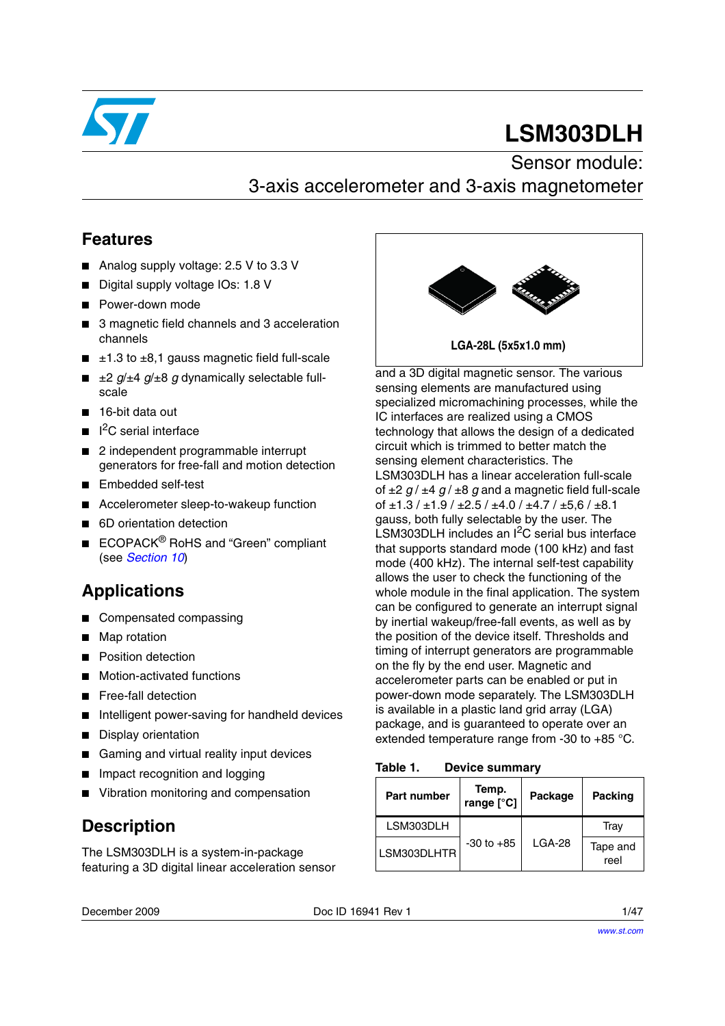

# **LSM303DLH**

### Sensor module: 3-axis accelerometer and 3-axis magnetometer

### **Features**

- Analog supply voltage: 2.5 V to 3.3 V
- Digital supply voltage IOs: 1.8 V
- Power-down mode
- 3 magnetic field channels and 3 acceleration channels
- $\blacksquare$   $\pm$ 1.3 to  $\pm$ 8,1 gauss magnetic field full-scale
- $\equiv$   $\pm 2$  *g*/ $\pm 4$  *g*/ $\pm 8$  *g* dynamically selectable fullscale
- 16-bit data out
- I<sup>2</sup>C serial interface
- 2 independent programmable interrupt generators for free-fall and motion detection
- Embedded self-test
- Accelerometer sleep-to-wakeup function
- 6D orientation detection
- ECOPACK<sup>®</sup> RoHS and "Green" compliant (see *[Section 10](#page-44-0)*)

### **Applications**

- Compensated compassing
- Map rotation
- **Position detection**
- Motion-activated functions
- Free-fall detection
- Intelligent power-saving for handheld devices
- Display orientation
- Gaming and virtual reality input devices
- Impact recognition and logging
- Vibration monitoring and compensation

### **Description**

The LSM303DLH is a system-in-package featuring a 3D digital linear acceleration sensor



and a 3D digital magnetic sensor. The various sensing elements are manufactured using specialized micromachining processes, while the IC interfaces are realized using a CMOS technology that allows the design of a dedicated circuit which is trimmed to better match the sensing element characteristics. The LSM303DLH has a linear acceleration full-scale of ±2 *g* / ±4 *g* / ±8 *g* and a magnetic field full-scale of  $\pm$ 1.3 /  $\pm$ 1.9 /  $\pm$ 2.5 /  $\pm$ 4.0 /  $\pm$ 4.7 /  $\pm$ 5.6 /  $\pm$ 8.1 gauss*,* both fully selectable by the user. The LSM303DLH includes an  $I^2C$  serial bus interface that supports standard mode (100 kHz) and fast mode (400 kHz). The internal self-test capability allows the user to check the functioning of the whole module in the final application. The system can be configured to generate an interrupt signal by inertial wakeup/free-fall events, as well as by the position of the device itself. Thresholds and timing of interrupt generators are programmable on the fly by the end user. Magnetic and accelerometer parts can be enabled or put in power-down mode separately. The LSM303DLH is available in a plastic land grid array (LGA) package, and is guaranteed to operate over an extended temperature range from -30 to +85 °C.

<span id="page-0-0"></span>Table 1. **Device summary** 

| <b>Part number</b> | Temp.<br>range [°C] | Package | <b>Packing</b>   |
|--------------------|---------------------|---------|------------------|
| LSM303DLH          |                     |         | Trav             |
| LSM303DLHTR        | $-30$ to $+85$      | LGA-28  | Tape and<br>reel |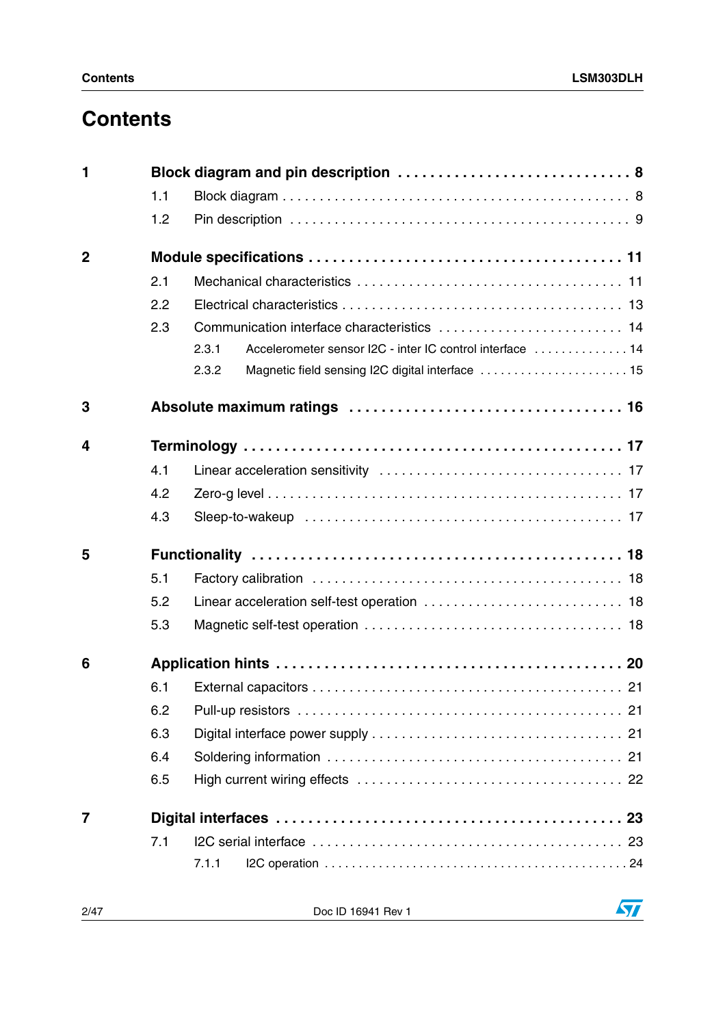## **Contents**

| 1              |     |                                                                    |
|----------------|-----|--------------------------------------------------------------------|
|                | 1.1 |                                                                    |
|                | 1.2 |                                                                    |
| $\overline{2}$ |     |                                                                    |
|                | 2.1 |                                                                    |
|                | 2.2 |                                                                    |
|                | 2.3 |                                                                    |
|                |     | Accelerometer sensor I2C - inter IC control interface  14<br>2.3.1 |
|                |     | Magnetic field sensing I2C digital interface  15<br>2.3.2          |
| 3              |     |                                                                    |
| 4              |     |                                                                    |
|                | 4.1 |                                                                    |
|                | 4.2 |                                                                    |
|                | 4.3 |                                                                    |
| 5              |     |                                                                    |
|                | 5.1 |                                                                    |
|                | 5.2 |                                                                    |
|                | 5.3 |                                                                    |
| 6              |     |                                                                    |
|                | 6.1 |                                                                    |
|                | 6.2 |                                                                    |
|                | 6.3 |                                                                    |
|                | 6.4 |                                                                    |
|                | 6.5 |                                                                    |
| $\overline{7}$ |     |                                                                    |
|                | 7.1 |                                                                    |
|                |     | 7.1.1                                                              |

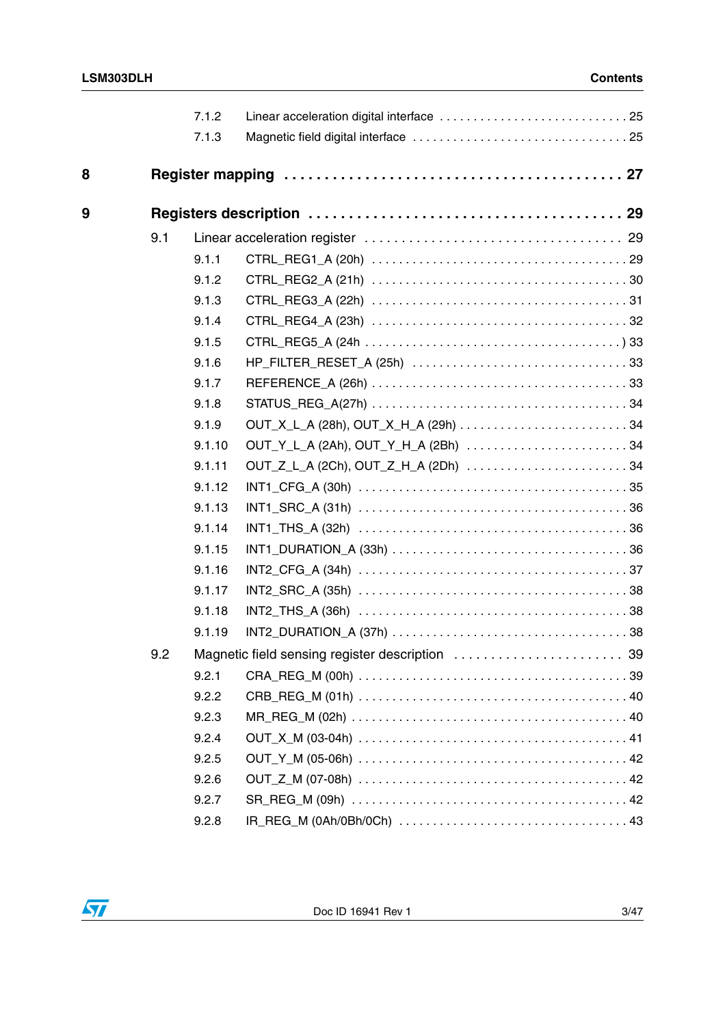$\sqrt{2}$ 

|   |     | 7.1.2  |                                                 |
|---|-----|--------|-------------------------------------------------|
|   |     | 7.1.3  |                                                 |
|   |     |        |                                                 |
| 8 |     |        |                                                 |
| 9 |     |        |                                                 |
|   | 9.1 |        |                                                 |
|   |     | 9.1.1  |                                                 |
|   |     | 9.1.2  |                                                 |
|   |     | 9.1.3  |                                                 |
|   |     | 9.1.4  |                                                 |
|   |     | 9.1.5  |                                                 |
|   |     | 9.1.6  |                                                 |
|   |     | 9.1.7  |                                                 |
|   |     | 9.1.8  |                                                 |
|   |     | 9.1.9  |                                                 |
|   |     | 9.1.10 | OUT_Y_L_A (2Ah), OUT_Y_H_A (2Bh) 34             |
|   |     | 9.1.11 | OUT_Z_L_A (2Ch), OUT_Z_H_A (2Dh) 34             |
|   |     | 9.1.12 |                                                 |
|   |     | 9.1.13 |                                                 |
|   |     | 9.1.14 |                                                 |
|   |     | 9.1.15 |                                                 |
|   |     | 9.1.16 |                                                 |
|   |     | 9.1.17 |                                                 |
|   |     | 9.1.18 |                                                 |
|   |     | 9.1.19 |                                                 |
|   | 9.2 |        | Magnetic field sensing register description  39 |
|   |     | 9.2.1  |                                                 |
|   |     | 9.2.2  |                                                 |
|   |     | 9.2.3  |                                                 |
|   |     | 9.2.4  |                                                 |
|   |     | 9.2.5  |                                                 |
|   |     | 9.2.6  |                                                 |
|   |     | 9.2.7  |                                                 |
|   |     | 9.2.8  |                                                 |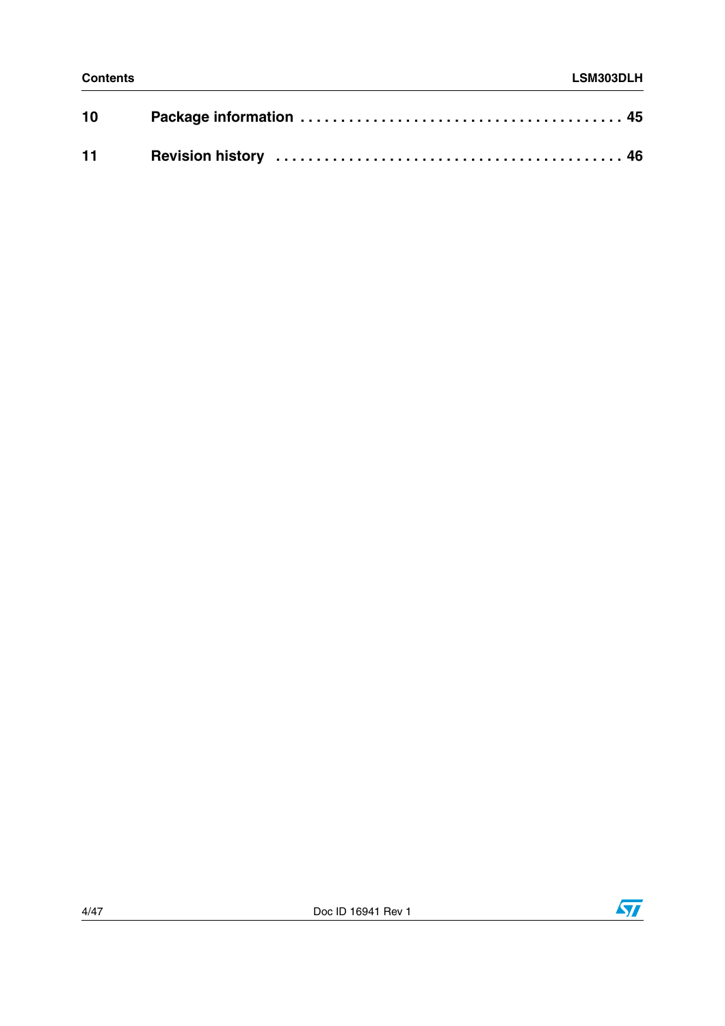| 10 |  |
|----|--|
|    |  |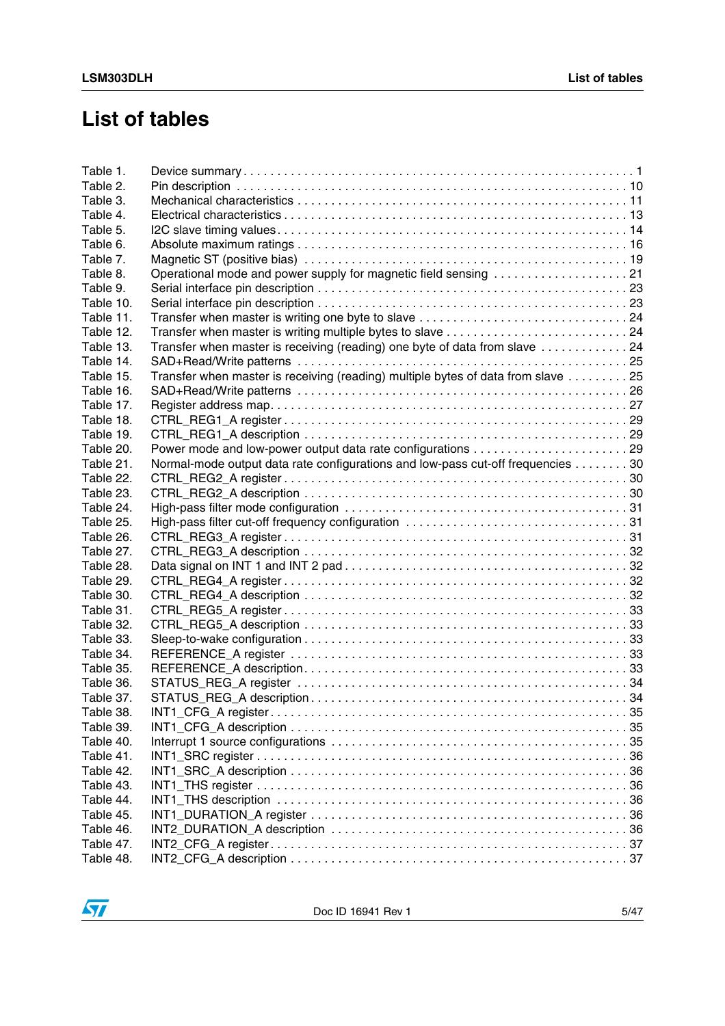## **List of tables**

| Table 1.  |                                                                                  |  |
|-----------|----------------------------------------------------------------------------------|--|
| Table 2.  |                                                                                  |  |
| Table 3.  |                                                                                  |  |
| Table 4.  |                                                                                  |  |
| Table 5.  |                                                                                  |  |
| Table 6.  |                                                                                  |  |
| Table 7.  |                                                                                  |  |
| Table 8.  | Operational mode and power supply for magnetic field sensing 21                  |  |
| Table 9.  |                                                                                  |  |
| Table 10. |                                                                                  |  |
| Table 11. | Transfer when master is writing one byte to slave 24                             |  |
| Table 12. |                                                                                  |  |
| Table 13. | Transfer when master is receiving (reading) one byte of data from slave 24       |  |
| Table 14. |                                                                                  |  |
| Table 15. | Transfer when master is receiving (reading) multiple bytes of data from slave 25 |  |
| Table 16. |                                                                                  |  |
| Table 17. |                                                                                  |  |
| Table 18. |                                                                                  |  |
| Table 19. |                                                                                  |  |
| Table 20. |                                                                                  |  |
| Table 21. | Normal-mode output data rate configurations and low-pass cut-off frequencies 30  |  |
| Table 22. |                                                                                  |  |
| Table 23. |                                                                                  |  |
| Table 24. |                                                                                  |  |
| Table 25. |                                                                                  |  |
| Table 26. |                                                                                  |  |
| Table 27. |                                                                                  |  |
| Table 28. |                                                                                  |  |
| Table 29. |                                                                                  |  |
| Table 30. |                                                                                  |  |
| Table 31. |                                                                                  |  |
| Table 32. |                                                                                  |  |
| Table 33. |                                                                                  |  |
| Table 34. |                                                                                  |  |
| Table 35. |                                                                                  |  |
| Table 36. |                                                                                  |  |
| Table 37. |                                                                                  |  |
| Table 38. |                                                                                  |  |
| Table 39. |                                                                                  |  |
| Table 40. |                                                                                  |  |
| Table 41. |                                                                                  |  |
| Table 42. |                                                                                  |  |
| Table 43. |                                                                                  |  |
| Table 44. |                                                                                  |  |
| Table 45. |                                                                                  |  |
| Table 46. |                                                                                  |  |
| Table 47. |                                                                                  |  |
|           |                                                                                  |  |

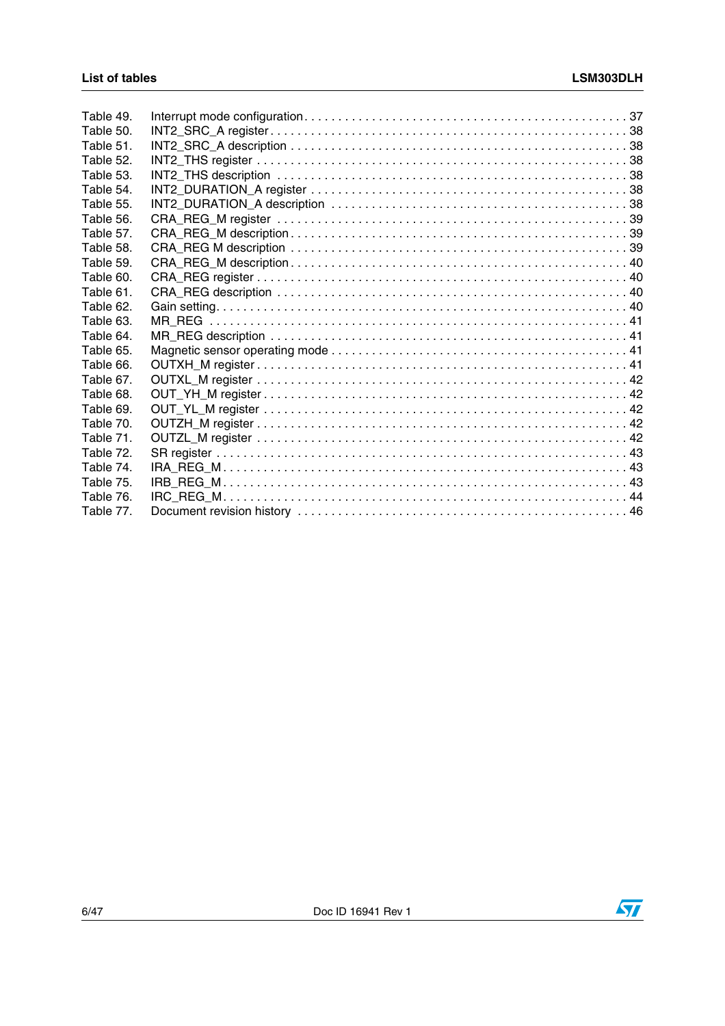| Table 49. |  |
|-----------|--|
| Table 50. |  |
| Table 51. |  |
| Table 52. |  |
| Table 53. |  |
| Table 54. |  |
| Table 55. |  |
| Table 56. |  |
| Table 57. |  |
| Table 58. |  |
| Table 59. |  |
| Table 60. |  |
| Table 61. |  |
| Table 62. |  |
| Table 63. |  |
| Table 64. |  |
| Table 65. |  |
| Table 66. |  |
| Table 67. |  |
| Table 68. |  |
| Table 69. |  |
| Table 70. |  |
| Table 71. |  |
| Table 72. |  |
| Table 74. |  |
| Table 75. |  |
| Table 76. |  |
| Table 77. |  |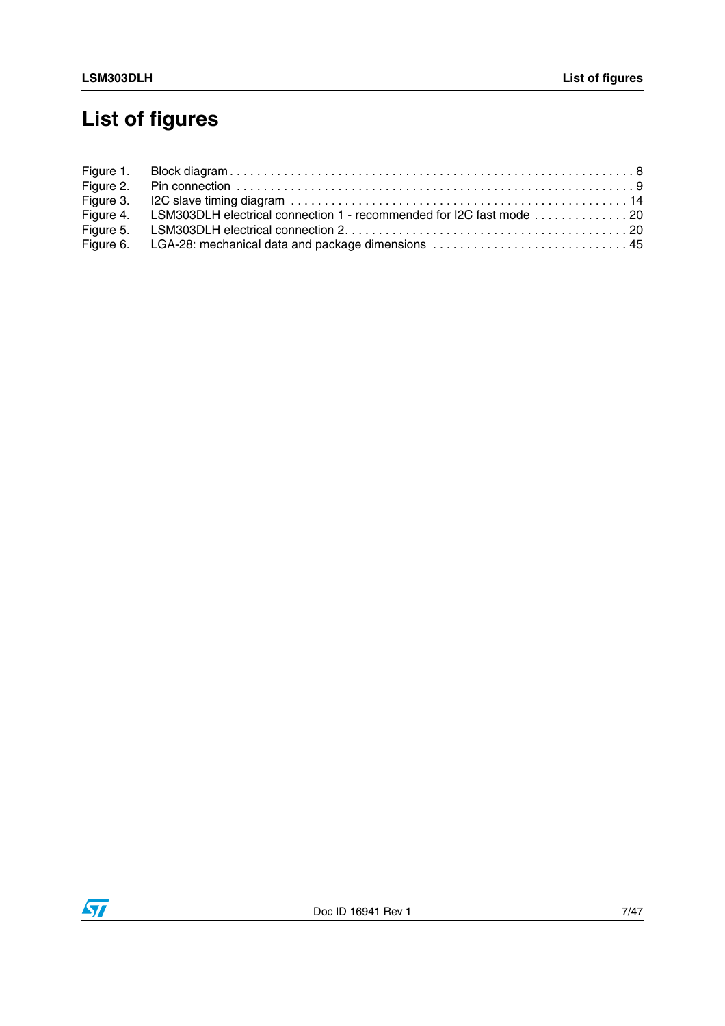# **List of figures**

| Figure 4. LSM303DLH electrical connection 1 - recommended for I2C fast mode 20 |
|--------------------------------------------------------------------------------|
|                                                                                |
|                                                                                |

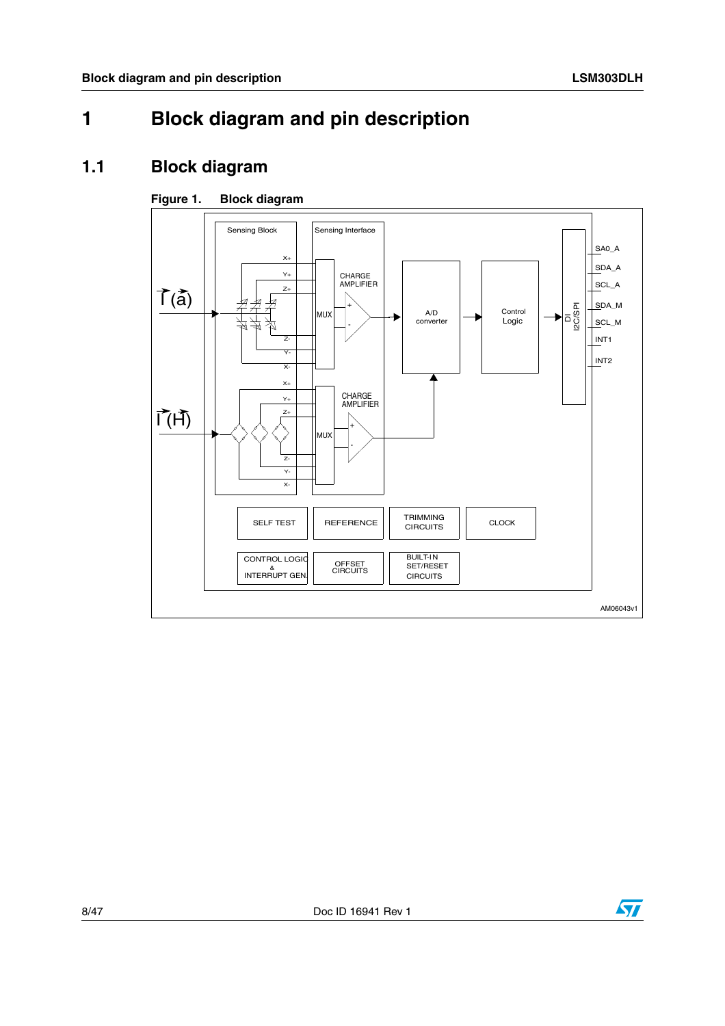## <span id="page-7-0"></span>**1 Block diagram and pin description**

### <span id="page-7-1"></span>**1.1 Block diagram**

### <span id="page-7-2"></span>**Figure 1. Block diagram**



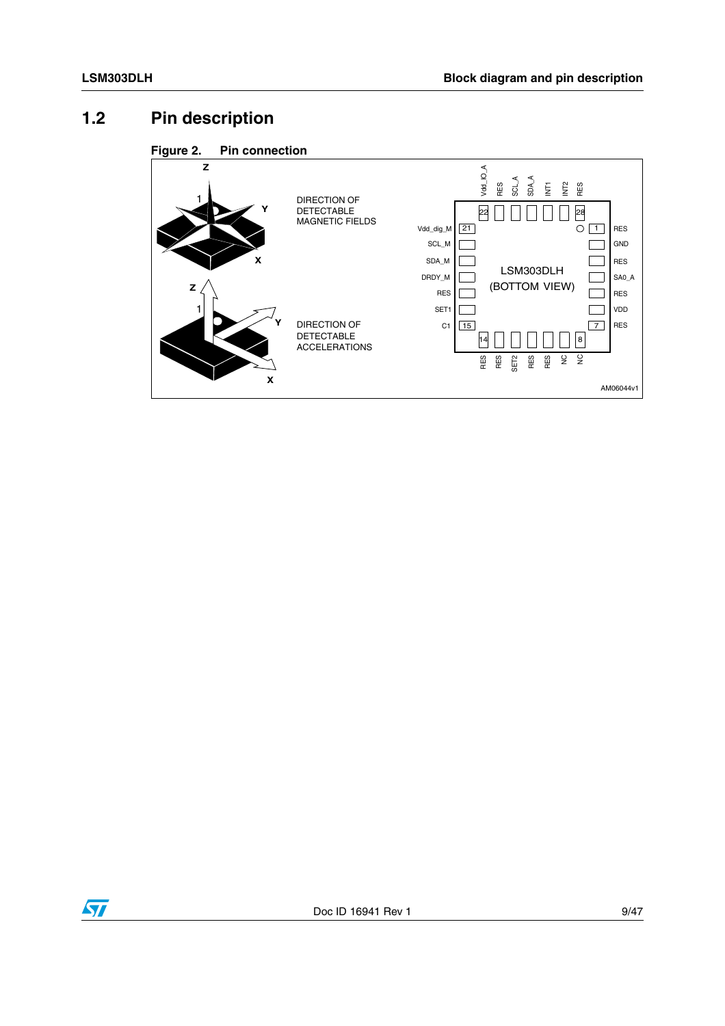## <span id="page-8-0"></span>**1.2 Pin description**

<span id="page-8-1"></span>



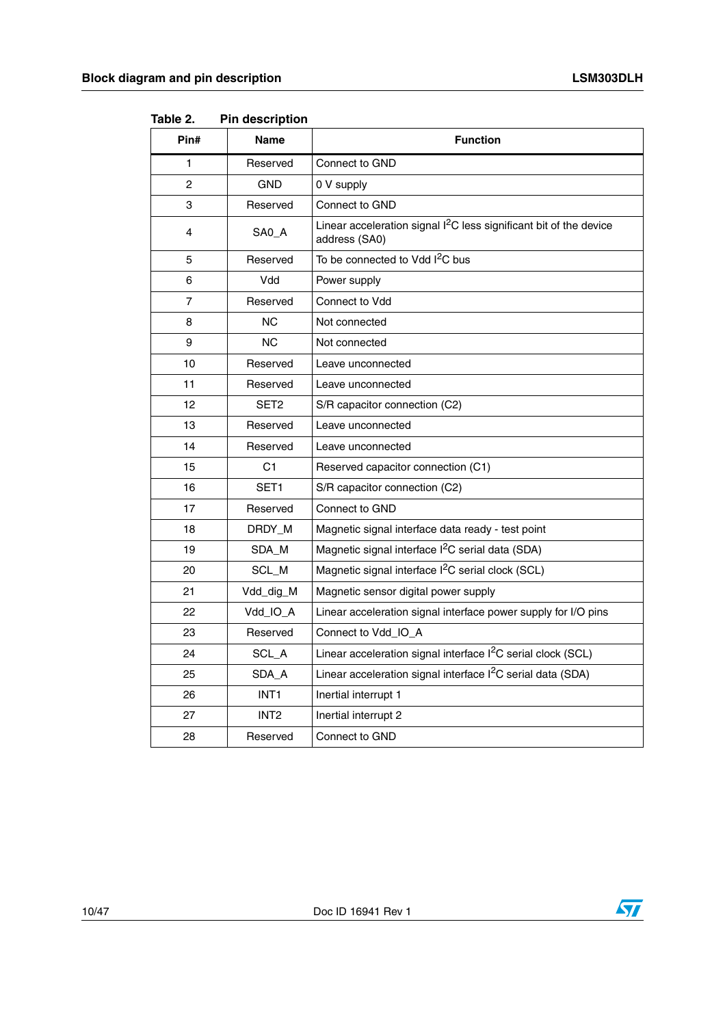| Pin#           | <b>Name</b>      | <b>Function</b>                                                                                 |
|----------------|------------------|-------------------------------------------------------------------------------------------------|
| 1              | Reserved         | Connect to GND                                                                                  |
| 2              | <b>GND</b>       | 0 V supply                                                                                      |
| 3              | Reserved         | Connect to GND                                                                                  |
| 4              | SA0_A            | Linear acceleration signal I <sup>2</sup> C less significant bit of the device<br>address (SA0) |
| 5              | Reserved         | To be connected to Vdd I <sup>2</sup> C bus                                                     |
| 6              | Vdd              | Power supply                                                                                    |
| $\overline{7}$ | Reserved         | Connect to Vdd                                                                                  |
| 8              | <b>NC</b>        | Not connected                                                                                   |
| 9              | <b>NC</b>        | Not connected                                                                                   |
| 10             | Reserved         | Leave unconnected                                                                               |
| 11             | Reserved         | Leave unconnected                                                                               |
| 12             | SET <sub>2</sub> | S/R capacitor connection (C2)                                                                   |
| 13             | Reserved         | Leave unconnected                                                                               |
| 14             | Reserved         | Leave unconnected                                                                               |
| 15             | C <sub>1</sub>   | Reserved capacitor connection (C1)                                                              |
| 16             | SET1             | S/R capacitor connection (C2)                                                                   |
| 17             | Reserved         | Connect to GND                                                                                  |
| 18             | DRDY_M           | Magnetic signal interface data ready - test point                                               |
| 19             | SDA M            | Magnetic signal interface I <sup>2</sup> C serial data (SDA)                                    |
| 20             | SCL_M            | Magnetic signal interface I <sup>2</sup> C serial clock (SCL)                                   |
| 21             | Vdd_dig_M        | Magnetic sensor digital power supply                                                            |
| 22             | Vdd IO_A         | Linear acceleration signal interface power supply for I/O pins                                  |
| 23             | Reserved         | Connect to Vdd_IO_A                                                                             |
| 24             | SCL_A            | Linear acceleration signal interface I <sup>2</sup> C serial clock (SCL)                        |
| 25             | SDA_A            | Linear acceleration signal interface I <sup>2</sup> C serial data (SDA)                         |
| 26             | INT <sub>1</sub> | Inertial interrupt 1                                                                            |
| 27             | INT <sub>2</sub> | Inertial interrupt 2                                                                            |
| 28             | Reserved         | Connect to GND                                                                                  |

<span id="page-9-0"></span>Table 2. **Pin description** 



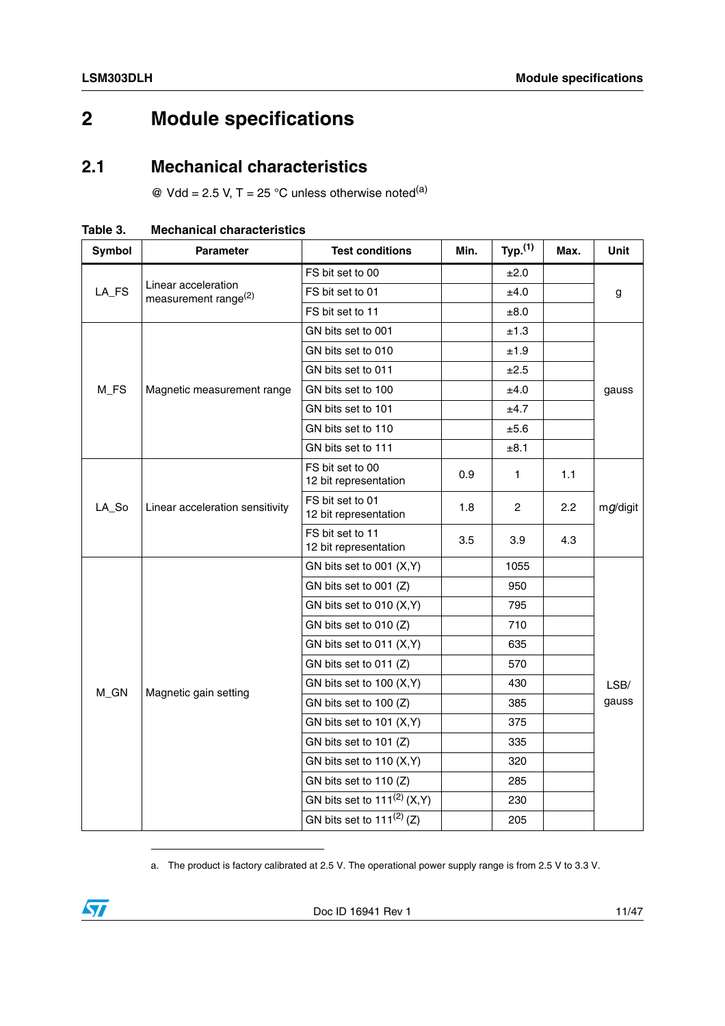## <span id="page-10-0"></span>**2 Module specifications**

### <span id="page-10-1"></span>**2.1 Mechanical characteristics**

 $\textcircled{e}$  Vdd = 2.5 V, T = 25 °C unless otherwise noted<sup>(a)</sup>

| Symbol  | <b>Parameter</b>                                        | <b>Test conditions</b>                    | Min. | Typ. <sup>(1)</sup> | Max. | Unit        |
|---------|---------------------------------------------------------|-------------------------------------------|------|---------------------|------|-------------|
|         | Linear acceleration<br>measurement range <sup>(2)</sup> | FS bit set to 00                          |      | ±2.0                |      |             |
| $LA_FS$ |                                                         | FS bit set to 01                          |      | ±4.0                |      | g           |
|         |                                                         | FS bit set to 11                          |      | ±8.0                |      |             |
|         |                                                         | GN bits set to 001                        |      | ±1.3                |      |             |
|         |                                                         | GN bits set to 010                        |      | ±1.9                |      |             |
|         |                                                         | GN bits set to 011                        |      | ±2.5                |      |             |
| M_FS    | Magnetic measurement range                              | GN bits set to 100                        |      | ±4.0                |      | gauss       |
|         |                                                         | GN bits set to 101                        |      | ±4.7                |      |             |
|         |                                                         | GN bits set to 110                        |      | ±5.6                |      |             |
|         |                                                         | GN bits set to 111                        |      | ±8.1                |      |             |
| LA_So   | Linear acceleration sensitivity                         | FS bit set to 00<br>12 bit representation | 0.9  | 1                   | 1.1  |             |
|         |                                                         | FS bit set to 01<br>12 bit representation | 1.8  | $\overline{c}$      | 2.2  | $mg$ /digit |
|         |                                                         | FS bit set to 11<br>12 bit representation | 3.5  | 3.9                 | 4.3  |             |
|         |                                                         | GN bits set to 001 (X,Y)                  |      | 1055                |      |             |
|         |                                                         | GN bits set to $001$ (Z)                  |      | 950                 |      |             |
|         |                                                         | GN bits set to 010 (X,Y)                  |      | 795                 |      |             |
|         |                                                         | GN bits set to 010 (Z)                    |      | 710                 |      |             |
|         |                                                         | GN bits set to 011 (X,Y)                  |      | 635                 |      |             |
|         |                                                         | GN bits set to 011 (Z)                    |      | 570                 |      |             |
|         |                                                         | GN bits set to 100 (X,Y)                  |      | 430                 |      | LSB/        |
| M_GN    | Magnetic gain setting                                   | GN bits set to 100 (Z)                    |      | 385                 |      | gauss       |
|         |                                                         | GN bits set to 101 (X,Y)                  |      | 375                 |      |             |
|         |                                                         | GN bits set to 101 (Z)                    |      | 335                 |      |             |
|         |                                                         | GN bits set to 110 (X,Y)                  |      | 320                 |      |             |
|         |                                                         | GN bits set to 110 (Z)                    |      | 285                 |      |             |
|         |                                                         | GN bits set to $111^{(2)}$ (X,Y)          |      | 230                 |      |             |
|         |                                                         | GN bits set to $111^{(2)}$ (Z)            |      | 205                 |      |             |

<span id="page-10-2"></span>**Table 3. Mechanical characteristics**

a. The product is factory calibrated at 2.5 V. The operational power supply range is from 2.5 V to 3.3 V.

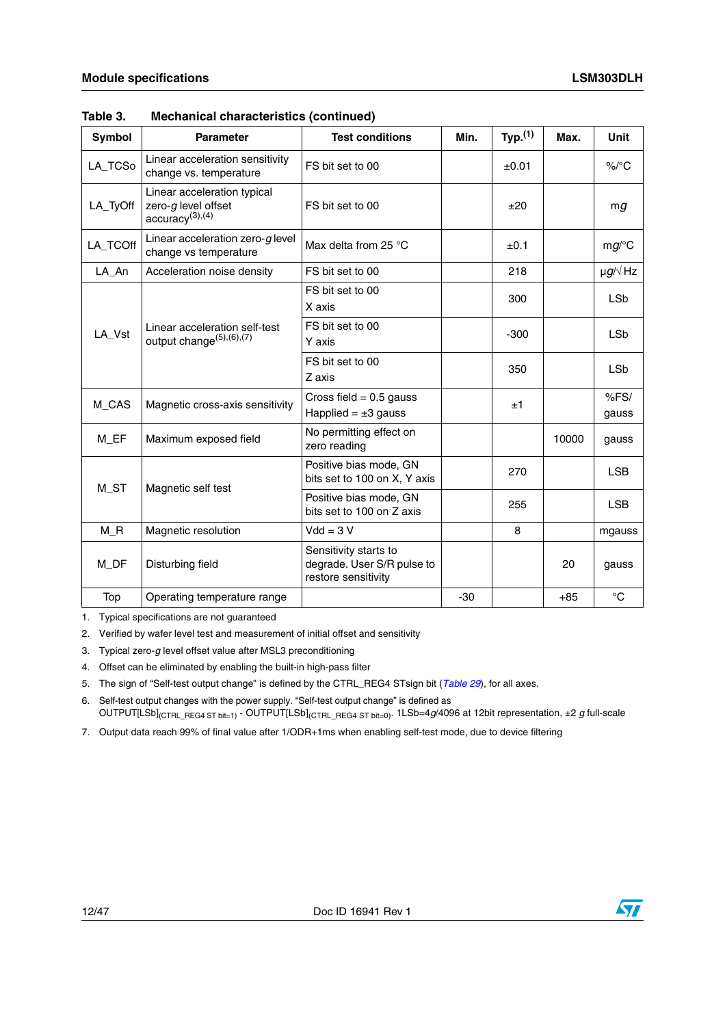| <b>Symbol</b>   | <b>Parameter</b>                                                                  | <b>Test conditions</b>                                                     | Min.  | Typ. <sup>(1)</sup> | Max.  | <b>Unit</b>                 |
|-----------------|-----------------------------------------------------------------------------------|----------------------------------------------------------------------------|-------|---------------------|-------|-----------------------------|
| LA_TCSo         | Linear acceleration sensitivity<br>change vs. temperature                         | FS bit set to 00                                                           |       | ±0.01               |       | $\%$ /°C                    |
| LA_TyOff        | Linear acceleration typical<br>zero-g level offset<br>accuracy <sup>(3),(4)</sup> | FS bit set to 00                                                           |       | ±20                 |       | mg                          |
| LA_TCOff        | Linear acceleration zero- $g$ level<br>change vs temperature                      | Max delta from 25 °C                                                       |       | ±0.1                |       | $mg$ /°C                    |
| LA_An           | Acceleration noise density                                                        | FS bit set to 00                                                           |       | 218                 |       | $\mu$ g/ $\sqrt{\text{Hz}}$ |
|                 |                                                                                   | FS bit set to 00<br>X axis                                                 |       | 300                 |       | <b>LSb</b>                  |
| LA_Vst          | Linear acceleration self-test<br>output change $(5)$ , $(6)$ , $(7)$              | FS bit set to 00<br>Y axis                                                 |       | $-300$              |       | <b>LSb</b>                  |
|                 |                                                                                   | FS bit set to 00<br>Z axis                                                 |       | 350                 |       | <b>LSb</b>                  |
| M_CAS           | Magnetic cross-axis sensitivity                                                   | Cross field = $0.5$ gauss<br>Happlied = $\pm 3$ gauss                      |       | ±1                  |       | %FS/<br>gauss               |
| M EF            | Maximum exposed field                                                             | No permitting effect on<br>zero reading                                    |       |                     | 10000 | gauss                       |
| M <sub>ST</sub> | Magnetic self test                                                                | Positive bias mode, GN<br>bits set to 100 on X, Y axis                     |       | 270                 |       | <b>LSB</b>                  |
|                 |                                                                                   | Positive bias mode, GN<br>bits set to 100 on Z axis                        |       | 255                 |       | <b>LSB</b>                  |
| $M_R$           | Magnetic resolution                                                               | $Vdd = 3 V$                                                                |       | 8                   |       | mgauss                      |
| M_DF            | Disturbing field                                                                  | Sensitivity starts to<br>degrade. User S/R pulse to<br>restore sensitivity |       |                     | 20    | gauss                       |
| Top             | Operating temperature range                                                       |                                                                            | $-30$ |                     | $+85$ | $^{\circ}C$                 |

#### **Table 3. Mechanical characteristics (continued)**

1. Typical specifications are not guaranteed

2. Verified by wafer level test and measurement of initial offset and sensitivity

3. Typical zero-*g* level offset value after MSL3 preconditioning

4. Offset can be eliminated by enabling the built-in high-pass filter

5. The sign of "Self-test output change" is defined by the CTRL\_REG4 STsign bit (*[Table 29](#page-31-3)*), for all axes.

6. Self-test output changes with the power supply. "Self-test output change" is defined as OUTPUT[LSb](CTRL\_REG4 ST bit=1) - OUTPUT[LSb](CTRL\_REG4 ST bit=0). 1LSb=4*g*/4096 at 12bit representation, ±2 *g* full-scale

7. Output data reach 99% of final value after 1/ODR+1ms when enabling self-test mode, due to device filtering



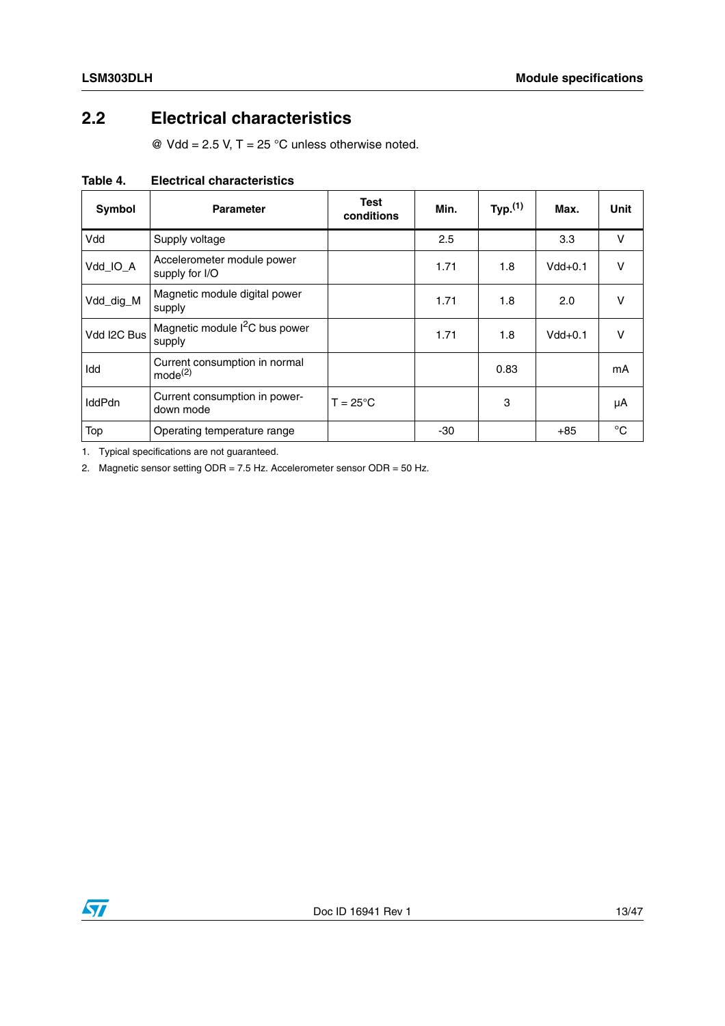### <span id="page-12-0"></span>**2.2 Electrical characteristics**

 $\textcircled{2}$  Vdd = 2.5 V, T = 25 °C unless otherwise noted.

| Symbol        | <b>Parameter</b>                                     | Test<br>conditions | Min. | Typ. <sup>(1)</sup> | Max.      | Unit        |
|---------------|------------------------------------------------------|--------------------|------|---------------------|-----------|-------------|
| Vdd           | Supply voltage                                       |                    | 2.5  |                     | 3.3       | $\vee$      |
| Vdd_IO_A      | Accelerometer module power<br>supply for I/O         |                    | 1.71 | 1.8                 | $Vdd+0.1$ | $\vee$      |
| Vdd_dig_M     | Magnetic module digital power<br>supply              |                    | 1.71 | 1.8                 | 2.0       | v           |
| Vdd I2C Bus   | Magnetic module I <sup>2</sup> C bus power<br>supply |                    | 1.71 | 1.8                 | $Vdd+0.1$ | v           |
| Idd           | Current consumption in normal<br>mode <sup>(2)</sup> |                    |      | 0.83                |           | mA          |
| <b>IddPdn</b> | Current consumption in power-<br>down mode           | $T = 25^{\circ}C$  |      | 3                   |           | μA          |
| Top           | Operating temperature range                          |                    | -30  |                     | $+85$     | $^{\circ}C$ |

#### <span id="page-12-1"></span>**Table 4. Electrical characteristics**

1. Typical specifications are not guaranteed.

2. Magnetic sensor setting ODR = 7.5 Hz. Accelerometer sensor ODR = 50 Hz.

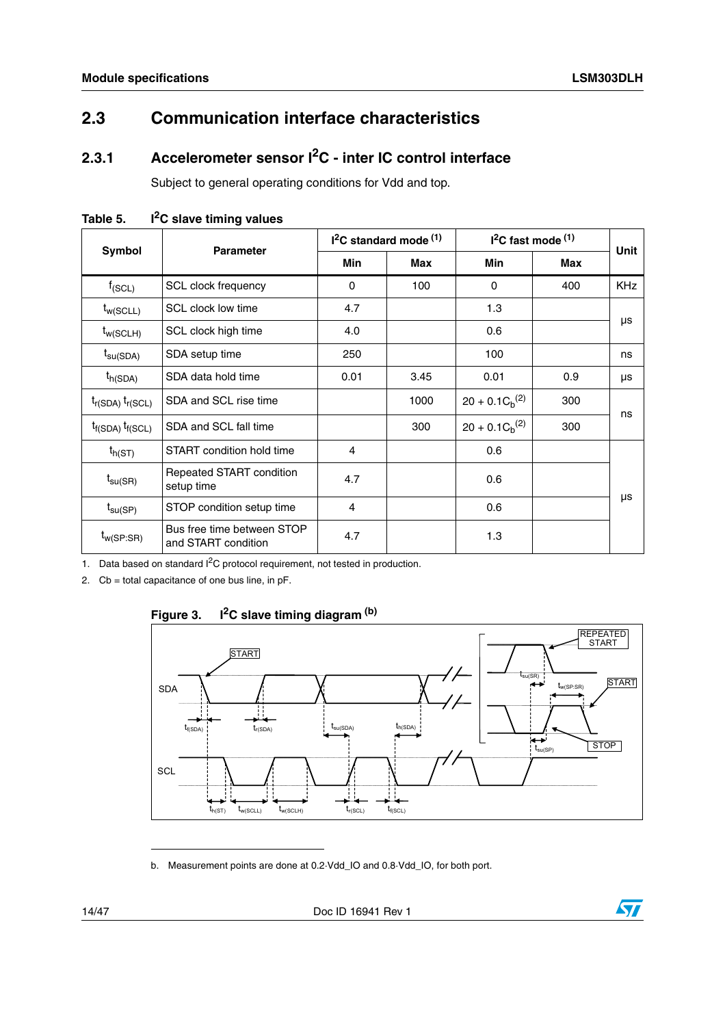## <span id="page-13-0"></span>**2.3 Communication interface characteristics**

### <span id="page-13-1"></span>**2.3.1 Accelerometer sensor I2C - inter IC control interface**

Subject to general operating conditions for Vdd and top.

|                         | <b>Parameter</b>                                  |            | $12C$ standard mode $(1)$ | $12C$ fast mode $(1)$ | <b>Unit</b> |            |
|-------------------------|---------------------------------------------------|------------|---------------------------|-----------------------|-------------|------------|
| Symbol                  |                                                   | <b>Min</b> | Max                       | <b>Min</b>            | <b>Max</b>  |            |
| $f_{(SCL)}$             | SCL clock frequency                               | 0          | 100                       | $\Omega$              | 400         | <b>KHz</b> |
| $t_{w(SCLL)}$           | SCL clock low time                                | 4.7        |                           | 1.3                   |             |            |
| $t_{w(SCLH)}$           | SCL clock high time                               | 4.0        |                           | 0.6                   |             | μs         |
| $t_{\text{su(SDA)}}$    | SDA setup time                                    | 250        |                           | 100                   |             | ns         |
| $t_{h(SDA)}$            | SDA data hold time                                | 0.01       | 3.45                      | 0.01                  | 0.9         | μs         |
| $t_{r(SDA)} t_{r(SCL)}$ | SDA and SCL rise time                             |            | 1000                      | $20 + 0.1 C_h^{(2)}$  | 300         | ns         |
| $t_{f(SDA)} t_{f(SCL)}$ | SDA and SCL fall time                             |            | 300                       | $20 + 0.1 C_h^{(2)}$  | 300         |            |
| $t_{h(ST)}$             | START condition hold time                         | 4          |                           | 0.6                   |             |            |
| $t_{\text{su(SR)}}$     | Repeated START condition<br>setup time            | 4.7        |                           | 0.6                   |             |            |
| $t_{\text{su(SP)}}$     | STOP condition setup time                         | 4          |                           | 0.6                   |             | μs         |
| $t_{w(SP:SR)}$          | Bus free time between STOP<br>and START condition | 4.7        |                           | 1.3                   |             |            |

<span id="page-13-2"></span>Table 5. I<sup>2</sup>C slave timing values

1. Data based on standard  $I<sup>2</sup>C$  protocol requirement, not tested in production.

2. Cb = total capacitance of one bus line, in pF.



<span id="page-13-3"></span>

b. Measurement points are done at 0.2·Vdd\_IO and 0.8·Vdd\_IO, for both port.

14/47 Doc ID 16941 Rev 1

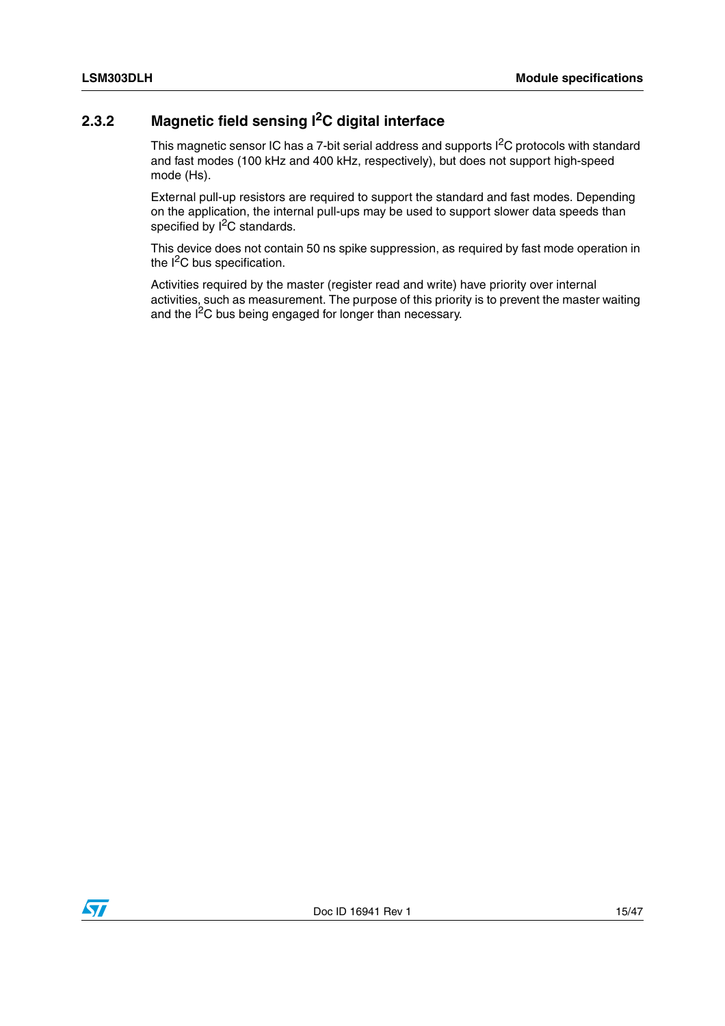### <span id="page-14-0"></span>**2.3.2 Magnetic field sensing I2C digital interface**

This magnetic sensor IC has a 7-bit serial address and supports I<sup>2</sup>C protocols with standard and fast modes (100 kHz and 400 kHz, respectively), but does not support high-speed mode (Hs).

External pull-up resistors are required to support the standard and fast modes. Depending on the application, the internal pull-ups may be used to support slower data speeds than specified by I<sup>2</sup>C standards.

This device does not contain 50 ns spike suppression, as required by fast mode operation in the  $I<sup>2</sup>C$  bus specification.

Activities required by the master (register read and write) have priority over internal activities, such as measurement. The purpose of this priority is to prevent the master waiting and the I<sup>2</sup>C bus being engaged for longer than necessary.

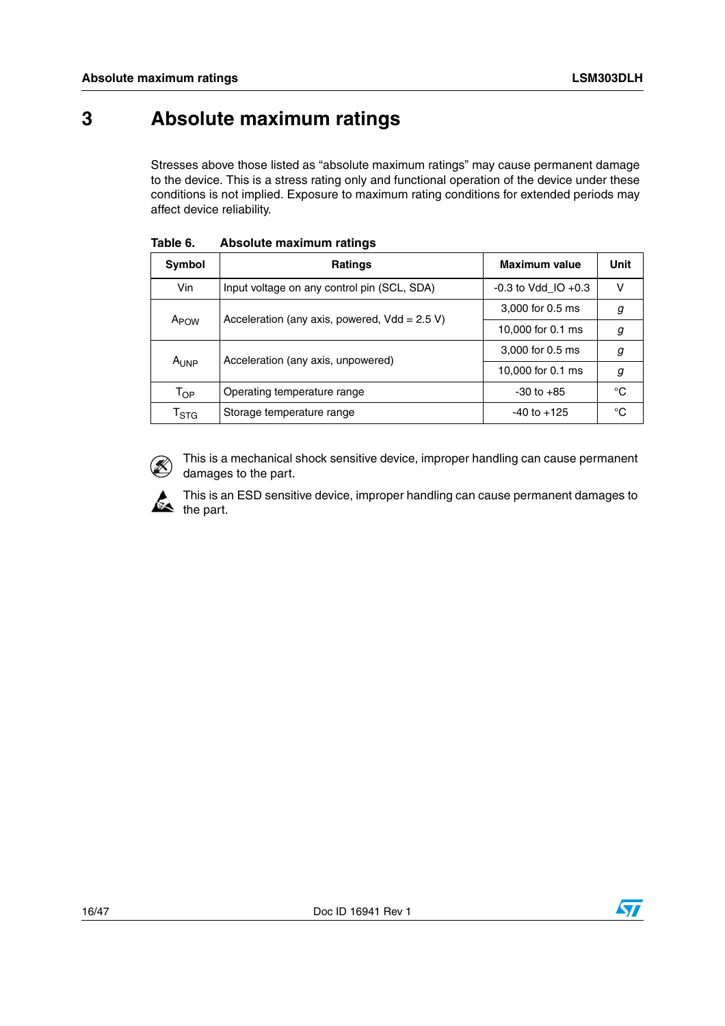## <span id="page-15-0"></span>**3 Absolute maximum ratings**

Stresses above those listed as "absolute maximum ratings" may cause permanent damage to the device. This is a stress rating only and functional operation of the device under these conditions is not implied. Exposure to maximum rating conditions for extended periods may affect device reliability.

| Symbol                                           | <b>Ratings</b>                              | Maximum value           | Unit |
|--------------------------------------------------|---------------------------------------------|-------------------------|------|
| Vin                                              | Input voltage on any control pin (SCL, SDA) | $-0.3$ to Vdd IO $+0.3$ | V    |
| Acceleration (any axis, powered, $Vdd = 2.5 V$ ) |                                             | 3,000 for 0.5 ms        | g    |
| A <sub>POW</sub>                                 |                                             | 10,000 for 0.1 ms       | g    |
|                                                  | Acceleration (any axis, unpowered)          | 3,000 for 0.5 ms        | g    |
| AUNP                                             |                                             | 10,000 for 0.1 ms       | g    |
| T <sub>OP</sub>                                  | Operating temperature range                 | $-30$ to $+85$          | °C   |
| $\mathsf{T}_{\textsf{STG}}$                      | Storage temperature range                   | $-40$ to $+125$         | °C   |

<span id="page-15-1"></span>**Table 6. Absolute maximum ratings**



This is a mechanical shock sensitive device, improper handling can cause permanent damages to the part.



This is an ESD sensitive device, improper handling can cause permanent damages to  $\mathbf{R}$  the part.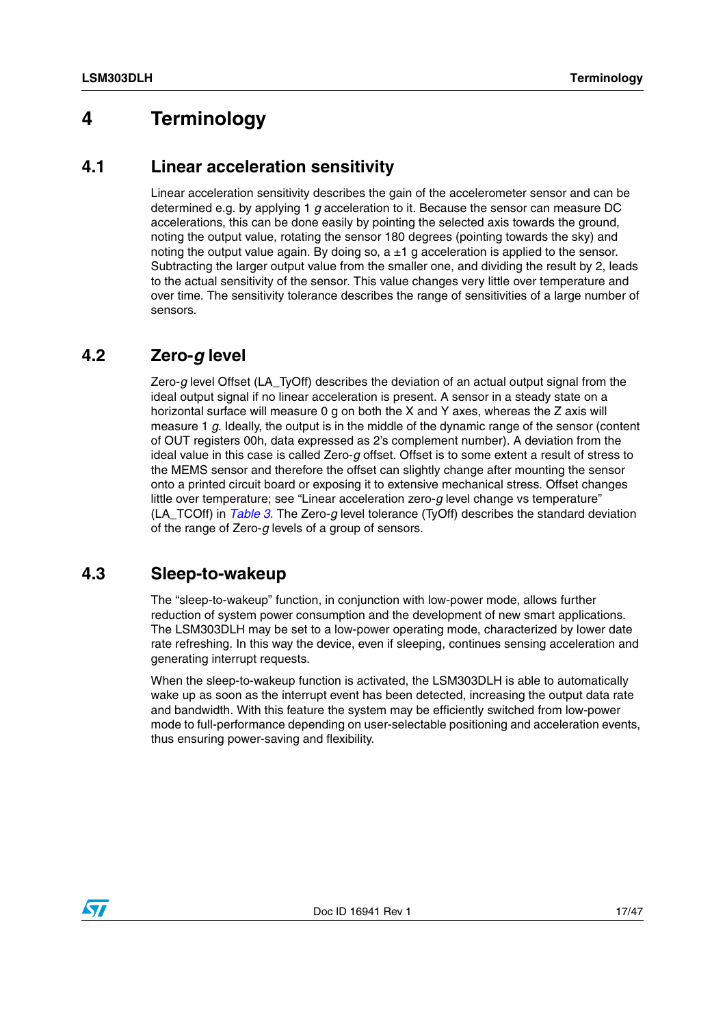### <span id="page-16-0"></span>**4 Terminology**

### <span id="page-16-1"></span>**4.1 Linear acceleration sensitivity**

Linear acceleration sensitivity describes the gain of the accelerometer sensor and can be determined e.g. by applying 1 *g* acceleration to it. Because the sensor can measure DC accelerations, this can be done easily by pointing the selected axis towards the ground, noting the output value, rotating the sensor 180 degrees (pointing towards the sky) and noting the output value again. By doing so,  $a \pm 1$  g acceleration is applied to the sensor. Subtracting the larger output value from the smaller one, and dividing the result by 2, leads to the actual sensitivity of the sensor. This value changes very little over temperature and over time. The sensitivity tolerance describes the range of sensitivities of a large number of sensors.

### <span id="page-16-2"></span>**4.2 Zero-***g* **level**

Zero-*g* level Offset (LA\_TyOff) describes the deviation of an actual output signal from the ideal output signal if no linear acceleration is present. A sensor in a steady state on a horizontal surface will measure 0 g on both the X and Y axes, whereas the Z axis will measure 1 *g*. Ideally, the output is in the middle of the dynamic range of the sensor (content of OUT registers 00h, data expressed as 2's complement number). A deviation from the ideal value in this case is called Zero-*g* offset. Offset is to some extent a result of stress to the MEMS sensor and therefore the offset can slightly change after mounting the sensor onto a printed circuit board or exposing it to extensive mechanical stress. Offset changes little over temperature; see "Linear acceleration zero-*g* level change vs temperature" (LA\_TCOff) in *[Table 3.](#page-10-2)* The Zero-*g* level tolerance (TyOff) describes the standard deviation of the range of Zero-*g* levels of a group of sensors.

### <span id="page-16-3"></span>**4.3 Sleep-to-wakeup**

The "sleep-to-wakeup" function, in conjunction with low-power mode, allows further reduction of system power consumption and the development of new smart applications. The LSM303DLH may be set to a low-power operating mode, characterized by lower date rate refreshing. In this way the device, even if sleeping, continues sensing acceleration and generating interrupt requests.

When the sleep-to-wakeup function is activated, the LSM303DLH is able to automatically wake up as soon as the interrupt event has been detected, increasing the output data rate and bandwidth. With this feature the system may be efficiently switched from low-power mode to full-performance depending on user-selectable positioning and acceleration events, thus ensuring power-saving and flexibility.

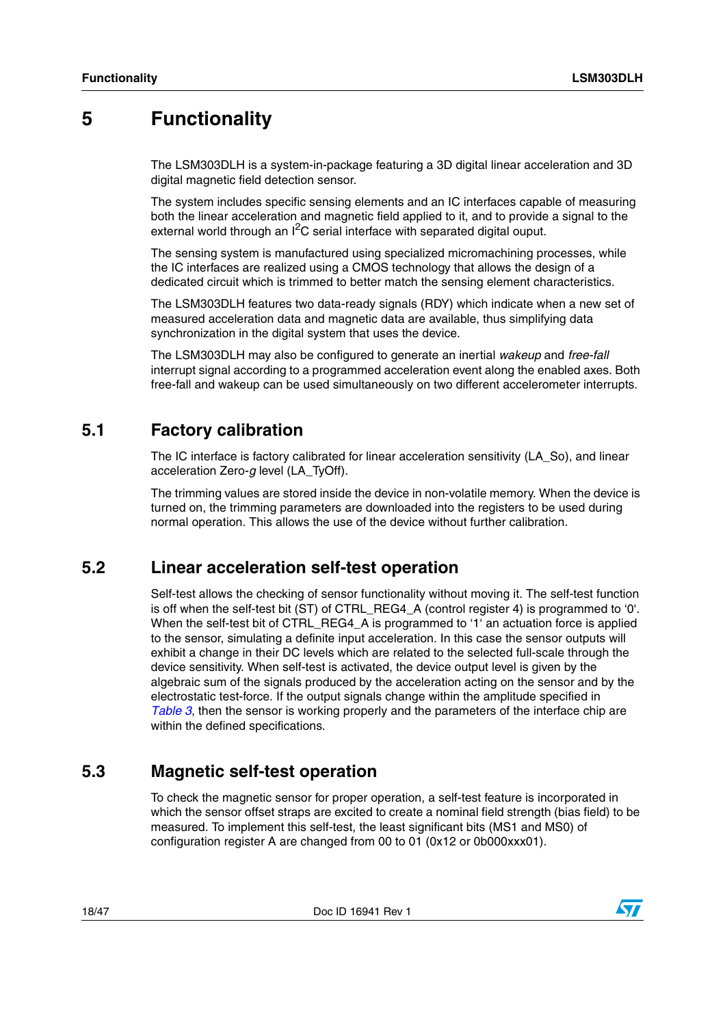## <span id="page-17-0"></span>**5 Functionality**

The LSM303DLH is a system-in-package featuring a 3D digital linear acceleration and 3D digital magnetic field detection sensor.

The system includes specific sensing elements and an IC interfaces capable of measuring both the linear acceleration and magnetic field applied to it, and to provide a signal to the external world through an  $I^2C$  serial interface with separated digital ouput.

The sensing system is manufactured using specialized micromachining processes, while the IC interfaces are realized using a CMOS technology that allows the design of a dedicated circuit which is trimmed to better match the sensing element characteristics.

The LSM303DLH features two data-ready signals (RDY) which indicate when a new set of measured acceleration data and magnetic data are available, thus simplifying data synchronization in the digital system that uses the device.

The LSM303DLH may also be configured to generate an inertial *wakeup* and *free-fall* interrupt signal according to a programmed acceleration event along the enabled axes. Both free-fall and wakeup can be used simultaneously on two different accelerometer interrupts.

### <span id="page-17-1"></span>**5.1 Factory calibration**

The IC interface is factory calibrated for linear acceleration sensitivity (LA\_So), and linear acceleration Zero-*g* level (LA\_TyOff).

The trimming values are stored inside the device in non-volatile memory. When the device is turned on, the trimming parameters are downloaded into the registers to be used during normal operation. This allows the use of the device without further calibration.

### <span id="page-17-2"></span>**5.2 Linear acceleration self-test operation**

Self-test allows the checking of sensor functionality without moving it. The self-test function is off when the self-test bit (ST) of CTRL\_REG4\_A (control register 4) is programmed to '0'. When the self-test bit of CTRL\_REG4\_A is programmed to '1' an actuation force is applied to the sensor, simulating a definite input acceleration. In this case the sensor outputs will exhibit a change in their DC levels which are related to the selected full-scale through the device sensitivity. When self-test is activated, the device output level is given by the algebraic sum of the signals produced by the acceleration acting on the sensor and by the electrostatic test-force. If the output signals change within the amplitude specified in *[Table 3](#page-10-2)*, then the sensor is working properly and the parameters of the interface chip are within the defined specifications.

### <span id="page-17-3"></span>**5.3 Magnetic self-test operation**

To check the magnetic sensor for proper operation, a self-test feature is incorporated in which the sensor offset straps are excited to create a nominal field strength (bias field) to be measured. To implement this self-test, the least significant bits (MS1 and MS0) of configuration register A are changed from 00 to 01 (0x12 or 0b000xxx01).

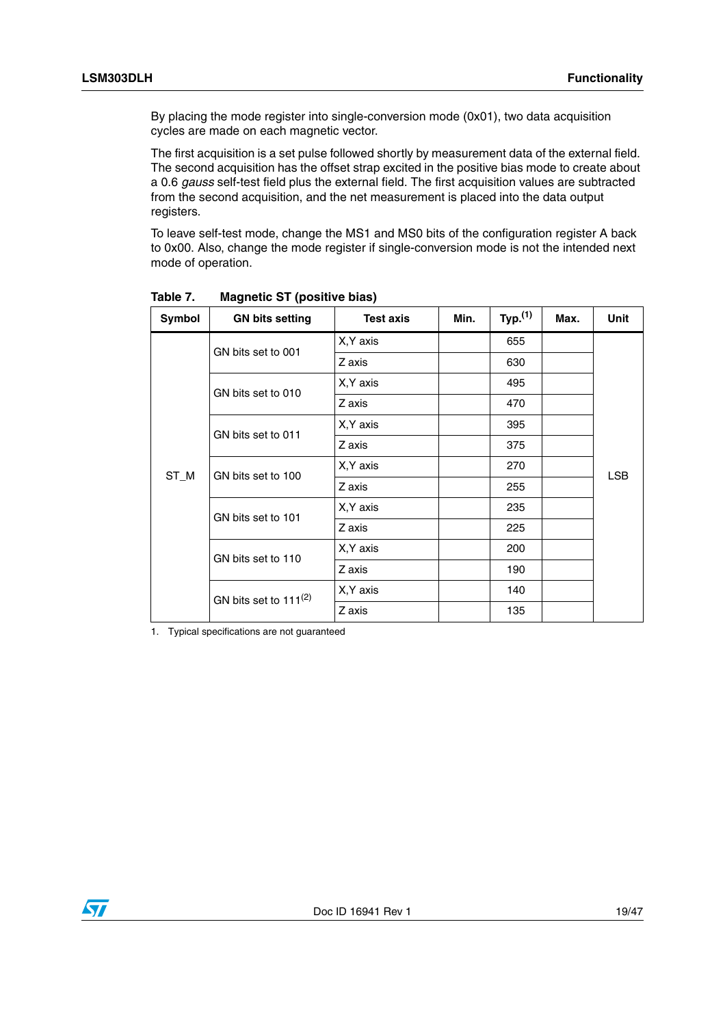By placing the mode register into single-conversion mode (0x01), two data acquisition cycles are made on each magnetic vector.

The first acquisition is a set pulse followed shortly by measurement data of the external field. The second acquisition has the offset strap excited in the positive bias mode to create about a 0.6 *gauss* self-test field plus the external field. The first acquisition values are subtracted from the second acquisition, and the net measurement is placed into the data output registers.

To leave self-test mode, change the MS1 and MS0 bits of the configuration register A back to 0x00. Also, change the mode register if single-conversion mode is not the intended next mode of operation.

| Symbol | <b>GN bits setting</b>     | <b>Test axis</b> | Min. | Typ. <sup>(1)</sup> | Max. | Unit       |
|--------|----------------------------|------------------|------|---------------------|------|------------|
|        | GN bits set to 001         | X, Y axis        |      | 655                 |      |            |
|        |                            | Z axis           |      | 630                 |      |            |
|        | GN bits set to 010         | X, Y axis        |      | 495                 |      |            |
|        |                            | Z axis           |      | 470                 |      |            |
|        | GN bits set to 011         | X, Y axis        |      | 395                 |      |            |
|        |                            | Z axis           |      | 375                 |      | <b>LSB</b> |
|        | GN bits set to 100         | X, Y axis        |      | 270                 |      |            |
| ST_M   |                            | Z axis           |      | 255                 |      |            |
|        | GN bits set to 101         | X, Y axis        |      | 235                 |      |            |
|        |                            | Z axis           |      | 225                 |      |            |
|        | GN bits set to 110         | X, Y axis        |      | 200                 |      |            |
|        |                            | Z axis           |      | 190                 |      |            |
|        | GN bits set to $111^{(2)}$ | X, Y axis        |      | 140                 |      |            |
|        |                            | Z axis           |      | 135                 |      |            |

<span id="page-18-0"></span>**Table 7. Magnetic ST (positive bias)**

1. Typical specifications are not guaranteed

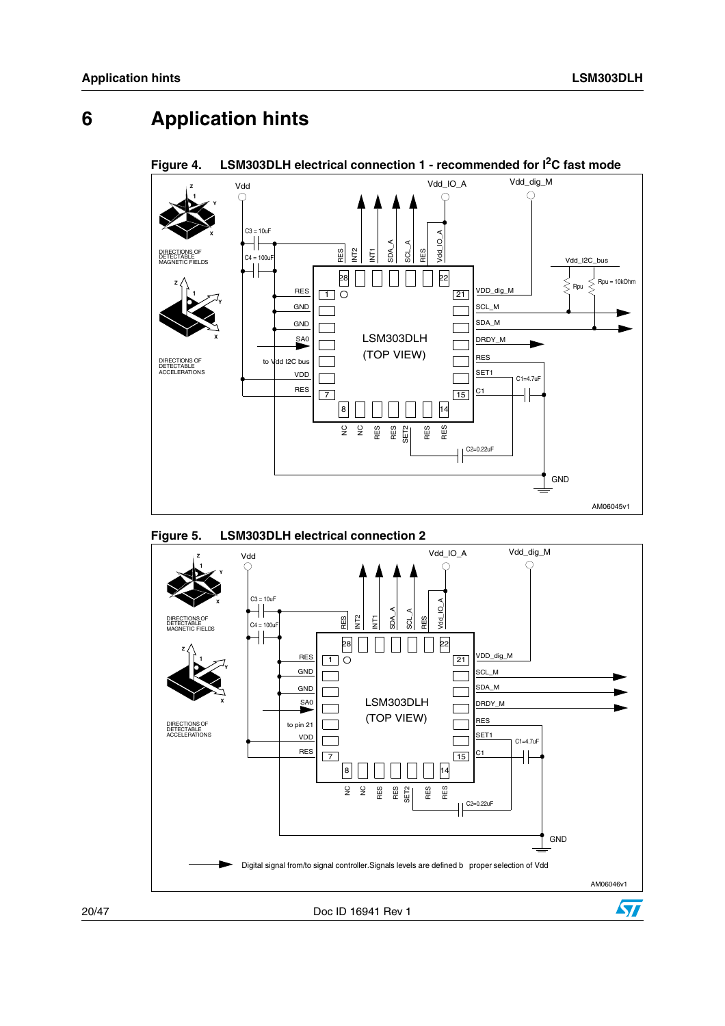# <span id="page-19-0"></span>**6 Application hints**



#### <span id="page-19-1"></span>Figure 4. LSM303DLH electrical connection 1 - recommended for  $I<sup>2</sup>C$  fast mode

<span id="page-19-2"></span>

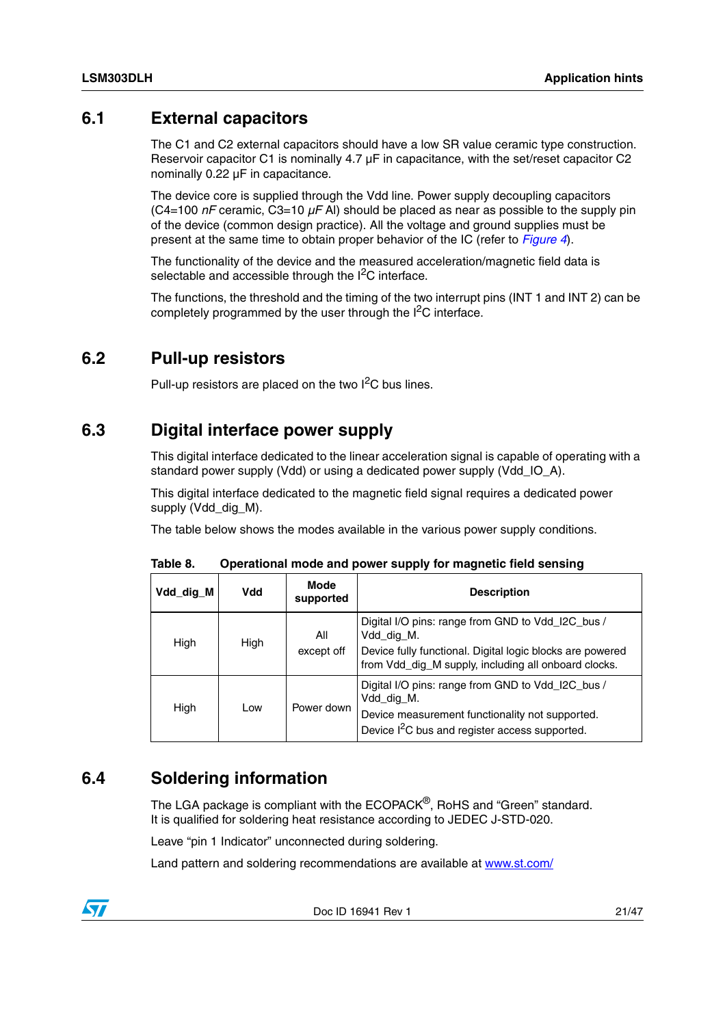### <span id="page-20-0"></span>**6.1 External capacitors**

The C1 and C2 external capacitors should have a low SR value ceramic type construction. Reservoir capacitor C1 is nominally  $4.7 \mu F$  in capacitance, with the set/reset capacitor C2 nominally 0.22 µF in capacitance.

The device core is supplied through the Vdd line. Power supply decoupling capacitors (C4=100 *nF* ceramic, C3=10 *µF* Al) should be placed as near as possible to the supply pin of the device (common design practice). All the voltage and ground supplies must be present at the same time to obtain proper behavior of the IC (refer to *[Figure 4](#page-19-1)*).

The functionality of the device and the measured acceleration/magnetic field data is selectable and accessible through the  $I^2C$  interface.

The functions, the threshold and the timing of the two interrupt pins (INT 1 and INT 2) can be completely programmed by the user through the  $I<sup>2</sup>C$  interface.

### <span id="page-20-1"></span>**6.2 Pull-up resistors**

Pull-up resistors are placed on the two I<sup>2</sup>C bus lines.

### <span id="page-20-2"></span>**6.3 Digital interface power supply**

This digital interface dedicated to the linear acceleration signal is capable of operating with a standard power supply (Vdd) or using a dedicated power supply (Vdd\_IO\_A).

This digital interface dedicated to the magnetic field signal requires a dedicated power supply (Vdd\_dig\_M).

The table below shows the modes available in the various power supply conditions.

| Vdd_dig_M | Vdd  | <b>Mode</b><br>supported | <b>Description</b>                                                                                                                                                                   |
|-----------|------|--------------------------|--------------------------------------------------------------------------------------------------------------------------------------------------------------------------------------|
| High      | High | All<br>except off        | Digital I/O pins: range from GND to Vdd_I2C_bus /<br>Vdd_dig_M.<br>Device fully functional. Digital logic blocks are powered<br>from Vdd_dig_M supply, including all onboard clocks. |
| High      | Low  | Power down               | Digital I/O pins: range from GND to Vdd_I2C_bus /<br>Vdd dig M.<br>Device measurement functionality not supported.<br>Device I <sup>2</sup> C bus and register access supported.     |

<span id="page-20-4"></span>**Table 8. Operational mode and power supply for magnetic field sensing**

### <span id="page-20-3"></span>**6.4 Soldering information**

The LGA package is compliant with the ECOPACK<sup>®</sup>, RoHS and "Green" standard. It is qualified for soldering heat resistance according to JEDEC J-STD-020.

Leave "pin 1 Indicator" unconnected during soldering.

Land pattern and soldering recommendations are available at www.st.com/

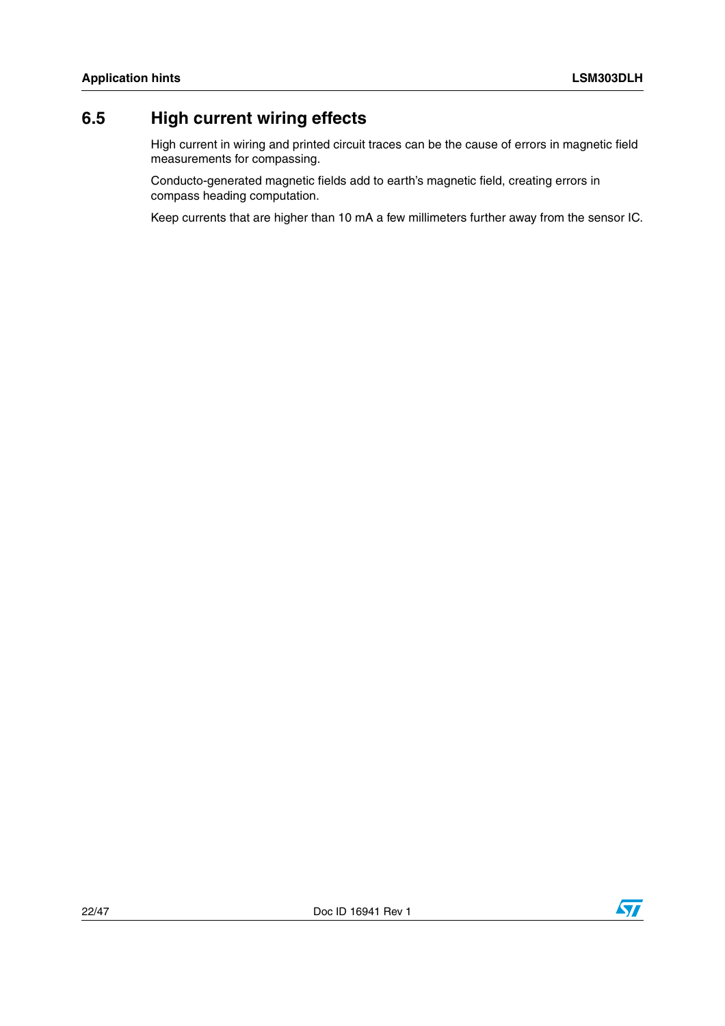## <span id="page-21-0"></span>**6.5 High current wiring effects**

High current in wiring and printed circuit traces can be the cause of errors in magnetic field measurements for compassing.

Conducto-generated magnetic fields add to earth's magnetic field, creating errors in compass heading computation.

Keep currents that are higher than 10 mA a few millimeters further away from the sensor IC.

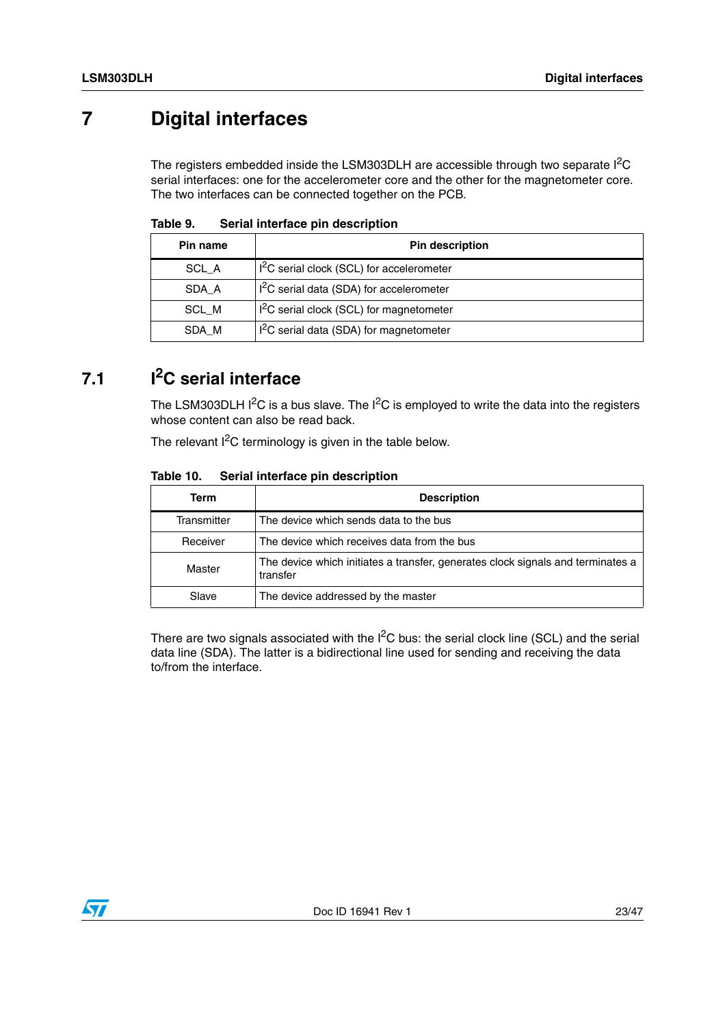## <span id="page-22-0"></span>**7 Digital interfaces**

The registers embedded inside the LSM303DLH are accessible through two separate  $I^2C$ serial interfaces: one for the accelerometer core and the other for the magnetometer core. The two interfaces can be connected together on the PCB.

| Pin name | <b>Pin description</b>                                |  |  |  |
|----------|-------------------------------------------------------|--|--|--|
| SCL A    | I <sup>2</sup> C serial clock (SCL) for accelerometer |  |  |  |
| SDA A    | I <sup>2</sup> C serial data (SDA) for accelerometer  |  |  |  |
| SCL M    | I <sup>2</sup> C serial clock (SCL) for magnetometer  |  |  |  |
| SDA M    | I <sup>2</sup> C serial data (SDA) for magnetometer   |  |  |  |

<span id="page-22-2"></span>Table 9 **Serial interface pin description** 

## <span id="page-22-1"></span>**7.1 I2C serial interface**

The LSM303DLH  $I^2C$  is a bus slave. The  $I^2C$  is employed to write the data into the registers whose content can also be read back.

The relevant  $I^2C$  terminology is given in the table below.

<span id="page-22-3"></span>

| Table 10. | Serial interface pin description |
|-----------|----------------------------------|
|-----------|----------------------------------|

| Term        | <b>Description</b>                                                                          |
|-------------|---------------------------------------------------------------------------------------------|
| Transmitter | The device which sends data to the bus                                                      |
| Receiver    | The device which receives data from the bus                                                 |
| Master      | The device which initiates a transfer, generates clock signals and terminates a<br>transfer |
| Slave       | The device addressed by the master                                                          |

There are two signals associated with the  $I^2C$  bus: the serial clock line (SCL) and the serial data line (SDA). The latter is a bidirectional line used for sending and receiving the data to/from the interface.

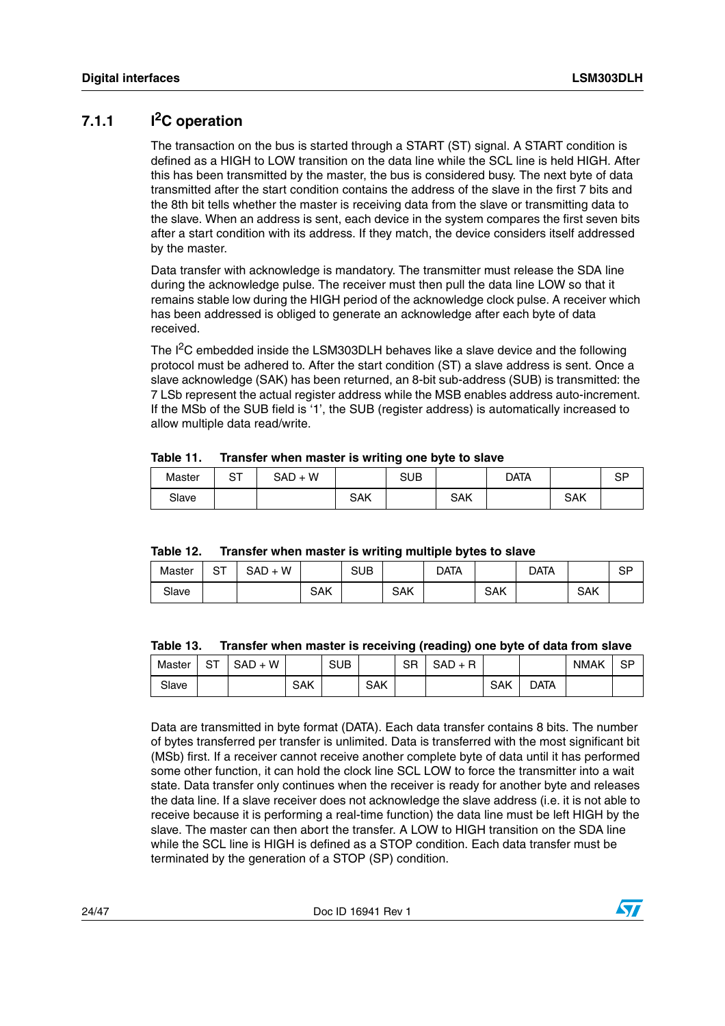### <span id="page-23-0"></span>**7.1.1 I2C operation**

The transaction on the bus is started through a START (ST) signal. A START condition is defined as a HIGH to LOW transition on the data line while the SCL line is held HIGH. After this has been transmitted by the master, the bus is considered busy. The next byte of data transmitted after the start condition contains the address of the slave in the first 7 bits and the 8th bit tells whether the master is receiving data from the slave or transmitting data to the slave. When an address is sent, each device in the system compares the first seven bits after a start condition with its address. If they match, the device considers itself addressed by the master.

Data transfer with acknowledge is mandatory. The transmitter must release the SDA line during the acknowledge pulse. The receiver must then pull the data line LOW so that it remains stable low during the HIGH period of the acknowledge clock pulse. A receiver which has been addressed is obliged to generate an acknowledge after each byte of data received.

The I<sup>2</sup>C embedded inside the LSM303DLH behaves like a slave device and the following protocol must be adhered to. After the start condition (ST) a slave address is sent. Once a slave acknowledge (SAK) has been returned, an 8-bit sub-address (SUB) is transmitted: the 7 LSb represent the actual register address while the MSB enables address auto-increment. If the MSb of the SUB field is '1', the SUB (register address) is automatically increased to allow multiple data read/write.

|        |           |                    |            | . .        |     |             |            |                 |
|--------|-----------|--------------------|------------|------------|-----|-------------|------------|-----------------|
| Master | ∼−<br>ا ب | ۰W<br>SAD<br>$\pm$ |            | <b>SUB</b> |     | <b>DATA</b> |            | <b>QD</b><br>σΓ |
| Slave  |           |                    | <b>SAK</b> |            | SAK |             | <b>SAK</b> |                 |

<span id="page-23-1"></span>**Table 11. Transfer when master is writing one byte to slave**

<span id="page-23-2"></span>

| Table 12. | Transfer when master is writing multiple bytes to slave |
|-----------|---------------------------------------------------------|
|-----------|---------------------------------------------------------|

| Master | ∼∼<br>ا ب | W<br>$SAD +$ |            | <b>SUB</b> |            | Data |            | data |            | SP |
|--------|-----------|--------------|------------|------------|------------|------|------------|------|------------|----|
| Slave  |           |              | <b>SAK</b> |            | <b>SAK</b> |      | <b>SAK</b> |      | <b>SAK</b> |    |

#### <span id="page-23-3"></span>**Table 13. Transfer when master is receiving (reading) one byte of data from slave**

| Master | ~-<br>، ت | W<br><b>SAD</b><br>· + |     | <b>SUB</b> |            | <b>SR</b> | <b>SAD</b> |     |      | <b>NMAK</b> | SP |
|--------|-----------|------------------------|-----|------------|------------|-----------|------------|-----|------|-------------|----|
| Slave  |           |                        | SAK |            | <b>SAK</b> |           |            | SAK | data |             |    |

Data are transmitted in byte format (DATA). Each data transfer contains 8 bits. The number of bytes transferred per transfer is unlimited. Data is transferred with the most significant bit (MSb) first. If a receiver cannot receive another complete byte of data until it has performed some other function, it can hold the clock line SCL LOW to force the transmitter into a wait state. Data transfer only continues when the receiver is ready for another byte and releases the data line. If a slave receiver does not acknowledge the slave address (i.e. it is not able to receive because it is performing a real-time function) the data line must be left HIGH by the slave. The master can then abort the transfer. A LOW to HIGH transition on the SDA line while the SCL line is HIGH is defined as a STOP condition. Each data transfer must be terminated by the generation of a STOP (SP) condition.

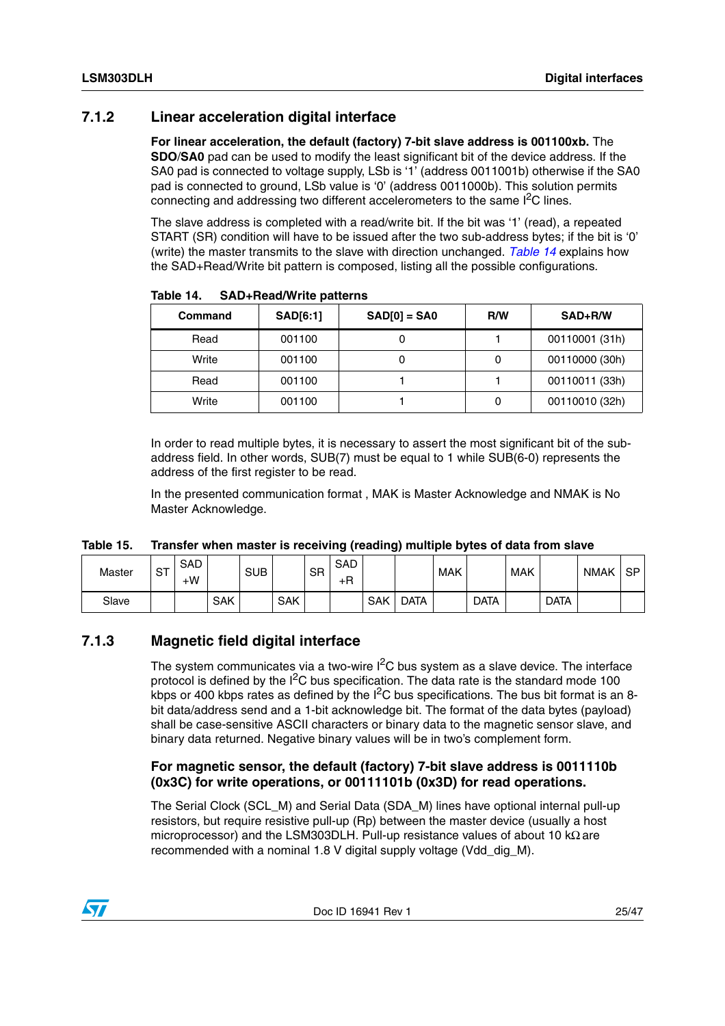### <span id="page-24-0"></span>**7.1.2 Linear acceleration digital interface**

**For linear acceleration, the default (factory) 7-bit slave address is 001100xb.** The **SDO**/**SA0** pad can be used to modify the least significant bit of the device address. If the SA0 pad is connected to voltage supply, LSb is '1' (address 0011001b) otherwise if the SA0 pad is connected to ground, LSb value is '0' (address 0011000b). This solution permits connecting and addressing two different accelerometers to the same  $I<sup>2</sup>C$  lines.

The slave address is completed with a read/write bit. If the bit was '1' (read), a repeated START (SR) condition will have to be issued after the two sub-address bytes; if the bit is '0' (write) the master transmits to the slave with direction unchanged. *[Table 14](#page-24-2)* explains how the SAD+Read/Write bit pattern is composed, listing all the possible configurations.

| Command | <b>SAD[6:1]</b> | $SAD[0] = SAO$ | R/W | SAD+R/W        |
|---------|-----------------|----------------|-----|----------------|
| Read    | 001100          |                |     | 00110001 (31h) |
| Write   | 001100          |                |     | 00110000 (30h) |
| Read    | 001100          |                |     | 00110011 (33h) |
| Write   | 001100          |                |     | 00110010 (32h) |

<span id="page-24-2"></span>**Table 14. SAD+Read/Write patterns**

In order to read multiple bytes, it is necessary to assert the most significant bit of the subaddress field. In other words, SUB(7) must be equal to 1 while SUB(6-0) represents the address of the first register to be read.

In the presented communication format , MAK is Master Acknowledge and NMAK is No Master Acknowledge.

<span id="page-24-3"></span>

| Table 15. | Transfer when master is receiving (reading) multiple bytes of data from slave |  |
|-----------|-------------------------------------------------------------------------------|--|
|-----------|-------------------------------------------------------------------------------|--|

| Master | <b>ST</b> | <b>SAD</b><br>$+W$ |            | <b>SUB</b> |            | SR | <b>SAD</b><br>$+R$ |     |             | <b>MAK</b> |             | <b>MAK</b> |             | <b>NMAK</b> | <b>SP</b> |
|--------|-----------|--------------------|------------|------------|------------|----|--------------------|-----|-------------|------------|-------------|------------|-------------|-------------|-----------|
| Slave  |           |                    | <b>SAK</b> |            | <b>SAK</b> |    |                    | SAK | <b>DATA</b> |            | <b>DATA</b> |            | <b>DATA</b> |             |           |

#### <span id="page-24-1"></span>**7.1.3 Magnetic field digital interface**

The system communicates via a two-wire  $I^2C$  bus system as a slave device. The interface protocol is defined by the  $1^2C$  bus specification. The data rate is the standard mode 100 kbps or 400 kbps rates as defined by the  $I^2C$  bus specifications. The bus bit format is an 8bit data/address send and a 1-bit acknowledge bit. The format of the data bytes (payload) shall be case-sensitive ASCII characters or binary data to the magnetic sensor slave, and binary data returned. Negative binary values will be in two's complement form.

#### **For magnetic sensor, the default (factory) 7-bit slave address is 0011110b (0x3C) for write operations, or 00111101b (0x3D) for read operations.**

The Serial Clock (SCL\_M) and Serial Data (SDA\_M) lines have optional internal pull-up resistors, but require resistive pull-up (Rp) between the master device (usually a host microprocessor) and the LSM303DLH. Pull-up resistance values of about 10 kΩ are recommended with a nominal 1.8 V digital supply voltage (Vdd\_dig\_M).

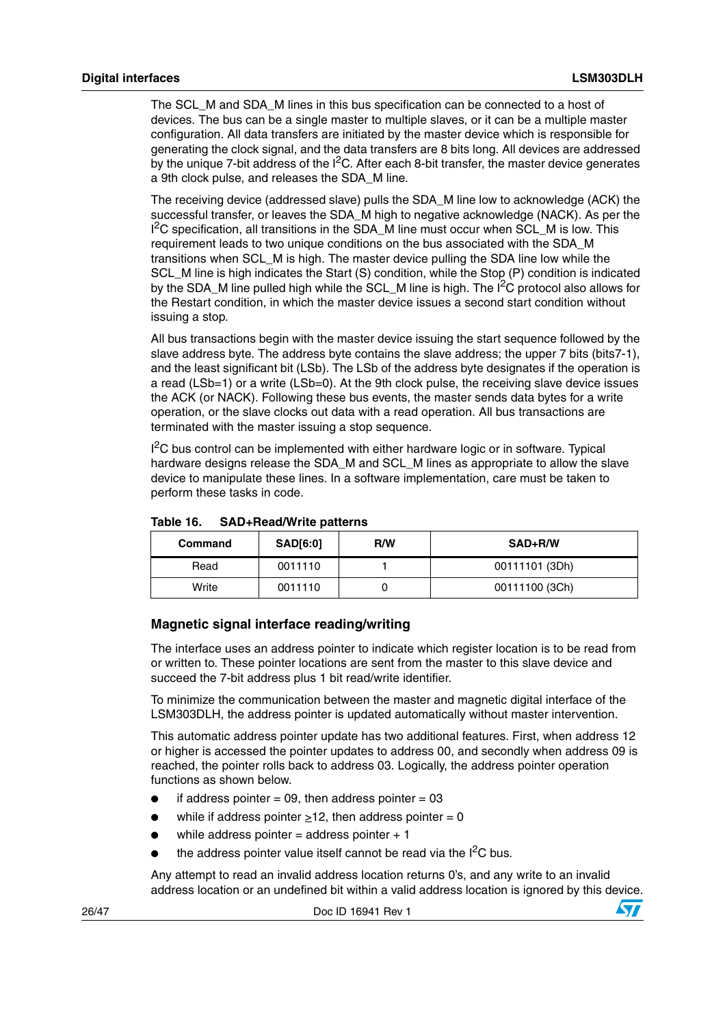The SCL M and SDA M lines in this bus specification can be connected to a host of devices. The bus can be a single master to multiple slaves, or it can be a multiple master configuration. All data transfers are initiated by the master device which is responsible for generating the clock signal, and the data transfers are 8 bits long. All devices are addressed by the unique 7-bit address of the  $I^2C$ . After each 8-bit transfer, the master device generates a 9th clock pulse, and releases the SDA\_M line.

The receiving device (addressed slave) pulls the SDA\_M line low to acknowledge (ACK) the successful transfer, or leaves the SDA\_M high to negative acknowledge (NACK). As per the  $I<sup>2</sup>C$  specification, all transitions in the SDA\_M line must occur when SCL\_M is low. This requirement leads to two unique conditions on the bus associated with the SDA\_M transitions when SCL\_M is high. The master device pulling the SDA line low while the SCL\_M line is high indicates the Start (S) condition, while the Stop (P) condition is indicated by the SDA M line pulled high while the SCL M line is high. The I<sup>2</sup>C protocol also allows for the Restart condition, in which the master device issues a second start condition without issuing a stop.

All bus transactions begin with the master device issuing the start sequence followed by the slave address byte. The address byte contains the slave address; the upper 7 bits (bits7-1), and the least significant bit (LSb). The LSb of the address byte designates if the operation is a read (LSb=1) or a write (LSb=0). At the 9th clock pulse, the receiving slave device issues the ACK (or NACK). Following these bus events, the master sends data bytes for a write operation, or the slave clocks out data with a read operation. All bus transactions are terminated with the master issuing a stop sequence.

 $I<sup>2</sup>C$  bus control can be implemented with either hardware logic or in software. Typical hardware designs release the SDA M and SCL M lines as appropriate to allow the slave device to manipulate these lines. In a software implementation, care must be taken to perform these tasks in code.

| Command | <b>SAD[6:0]</b> | R/W | SAD+R/W        |
|---------|-----------------|-----|----------------|
| Read    | 0011110         |     | 00111101 (3Dh) |
| Write   | 0011110         |     | 00111100 (3Ch) |

#### <span id="page-25-0"></span>Table 16. **Table 16. SAD+Read/Write patterns**

#### **Magnetic signal interface reading/writing**

The interface uses an address pointer to indicate which register location is to be read from or written to. These pointer locations are sent from the master to this slave device and succeed the 7-bit address plus 1 bit read/write identifier.

To minimize the communication between the master and magnetic digital interface of the LSM303DLH, the address pointer is updated automatically without master intervention.

This automatic address pointer update has two additional features. First, when address 12 or higher is accessed the pointer updates to address 00, and secondly when address 09 is reached, the pointer rolls back to address 03. Logically, the address pointer operation functions as shown below.

- if address pointer = 09, then address pointer =  $03$
- while if address pointer  $\geq 12$ , then address pointer = 0
- while address pointer = address pointer  $+1$
- the address pointer value itself cannot be read via the  $I^2C$  bus.

Any attempt to read an invalid address location returns 0's, and any write to an invalid address location or an undefined bit within a valid address location is ignored by this device.

| 26/47 | Doc ID 16941 Rev 1 |
|-------|--------------------|
|       |                    |

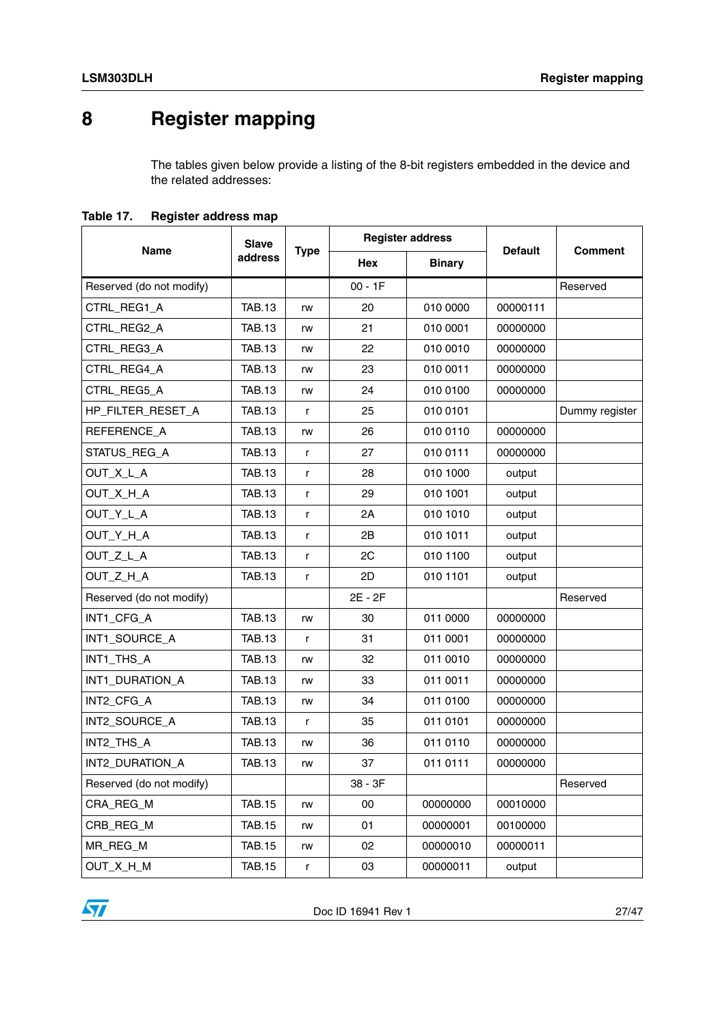## <span id="page-26-0"></span>**8 Register mapping**

The tables given below provide a listing of the 8-bit registers embedded in the device and the related addresses:

<span id="page-26-1"></span>**Table 17. Register address map**

|                          | <b>Slave</b>  |             |            | <b>Register address</b> |                |                |
|--------------------------|---------------|-------------|------------|-------------------------|----------------|----------------|
| <b>Name</b>              | address       | <b>Type</b> | <b>Hex</b> | <b>Binary</b>           | <b>Default</b> | <b>Comment</b> |
| Reserved (do not modify) |               |             | $00 - 1F$  |                         |                | Reserved       |
| CTRL_REG1_A              | <b>TAB.13</b> | rw          | 20         | 010 0000                | 00000111       |                |
| CTRL_REG2_A              | <b>TAB.13</b> | rw          | 21         | 010 0001                | 00000000       |                |
| CTRL_REG3_A              | <b>TAB.13</b> | rw          | 22         | 010 0010                | 00000000       |                |
| CTRL_REG4_A              | <b>TAB.13</b> | rw          | 23         | 010 0011                | 00000000       |                |
| CTRL_REG5_A              | <b>TAB.13</b> | rw          | 24         | 010 0100                | 00000000       |                |
| HP_FILTER_RESET_A        | <b>TAB.13</b> | r           | 25         | 010 0101                |                | Dummy register |
| REFERENCE_A              | <b>TAB.13</b> | rw          | 26         | 010 0110                | 00000000       |                |
| STATUS_REG_A             | <b>TAB.13</b> | r           | 27         | 010 0111                | 00000000       |                |
| OUT_X_L_A                | <b>TAB.13</b> | r           | 28         | 010 1000                | output         |                |
| OUT_X_H_A                | <b>TAB.13</b> | r           | 29         | 010 1001                | output         |                |
| OUT_Y_L_A                | <b>TAB.13</b> | r           | 2A         | 010 1010                | output         |                |
| OUT_Y_H_A                | <b>TAB.13</b> | r           | 2B         | 010 1011                | output         |                |
| OUT_Z_L_A                | <b>TAB.13</b> | r           | 2C         | 010 1100                | output         |                |
| OUT Z H A                | <b>TAB.13</b> | r           | 2D         | 010 1101                | output         |                |
| Reserved (do not modify) |               |             | 2E - 2F    |                         |                | Reserved       |
| INT1_CFG_A               | <b>TAB.13</b> | rw          | 30         | 011 0000                | 00000000       |                |
| INT1_SOURCE_A            | <b>TAB.13</b> | r           | 31         | 011 0001                | 00000000       |                |
| INT1_THS_A               | <b>TAB.13</b> | rw          | 32         | 011 0010                | 00000000       |                |
| INT1_DURATION_A          | <b>TAB.13</b> | rw          | 33         | 011 0011                | 00000000       |                |
| INT2_CFG_A               | <b>TAB.13</b> | rw          | 34         | 011 0100                | 00000000       |                |
| INT2_SOURCE_A            | <b>TAB.13</b> | r           | 35         | 011 0101                | 00000000       |                |
| INT2_THS_A               | <b>TAB.13</b> | rw          | 36         | 011 0110                | 00000000       |                |
| INT2_DURATION_A          | <b>TAB.13</b> | rw          | 37         | 011 0111                | 00000000       |                |
| Reserved (do not modify) |               |             | 38 - 3F    |                         |                | Reserved       |
| CRA_REG_M                | <b>TAB.15</b> | rw          | 00         | 00000000                | 00010000       |                |
| CRB_REG_M                | <b>TAB.15</b> | rw          | 01         | 00000001                | 00100000       |                |
| MR_REG_M                 | <b>TAB.15</b> | rw          | 02         | 00000010                | 00000011       |                |
| OUT_X_H_M                | <b>TAB.15</b> | r           | 03         | 00000011                | output         |                |

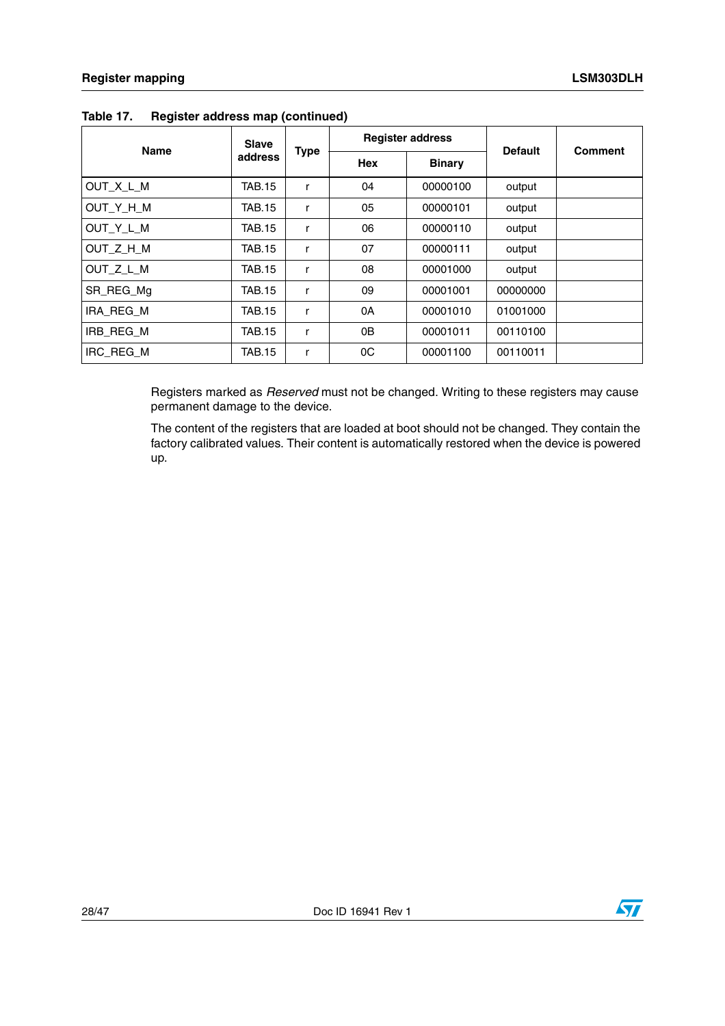| <b>Name</b> | <b>Slave</b>  |             |     | <b>Register address</b> | <b>Default</b> | <b>Comment</b> |
|-------------|---------------|-------------|-----|-------------------------|----------------|----------------|
|             | address       | <b>Type</b> | Hex | <b>Binary</b>           |                |                |
| OUT X L M   | <b>TAB.15</b> | r           | 04  | 00000100                | output         |                |
| OUT_Y_H_M   | TAB.15        | r           | 05  | 00000101                | output         |                |
| OUT Y L M   | TAB.15        | r           | 06  | 00000110                | output         |                |
| OUT Z H M   | <b>TAB.15</b> | r           | 07  | 00000111                | output         |                |
| OUT Z L M   | TAB.15        | r           | 08  | 00001000                | output         |                |
| SR_REG_Mg   | <b>TAB.15</b> | r           | 09  | 00001001                | 00000000       |                |
| IRA REG_M   | TAB.15        | r           | 0A  | 00001010                | 01001000       |                |
| IRB REG M   | TAB.15        | r           | 0B  | 00001011                | 00110100       |                |
| IRC REG M   | TAB.15        | r           | 0C  | 00001100                | 00110011       |                |

#### **Table 17. Register address map (continued)**

Registers marked as *Reserved* must not be changed. Writing to these registers may cause permanent damage to the device.

The content of the registers that are loaded at boot should not be changed. They contain the factory calibrated values. Their content is automatically restored when the device is powered up.

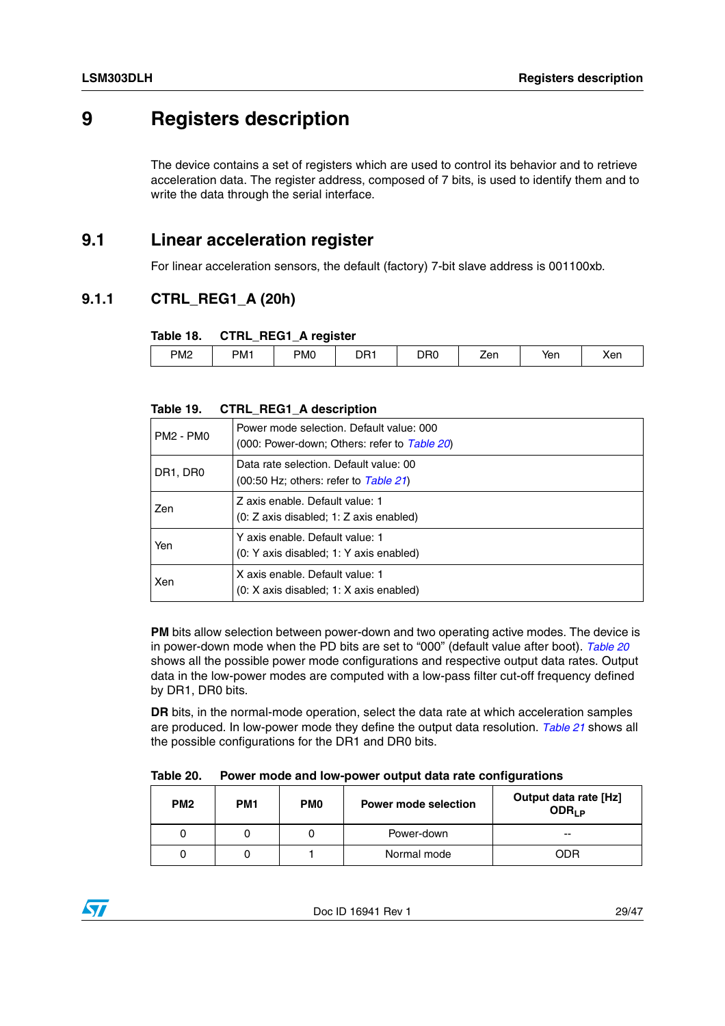## <span id="page-28-0"></span>**9 Registers description**

The device contains a set of registers which are used to control its behavior and to retrieve acceleration data. The register address, composed of 7 bits, is used to identify them and to write the data through the serial interface.

### <span id="page-28-1"></span>**9.1 Linear acceleration register**

For linear acceleration sensors, the default (factory) 7-bit slave address is 001100xb.

### <span id="page-28-2"></span>**9.1.1 CTRL\_REG1\_A (20h)**

#### <span id="page-28-3"></span>**Table 18. CTRL\_REG1\_A register**

| _____<br>______ |     | - - -           | ___ |                 |     |     |     |
|-----------------|-----|-----------------|-----|-----------------|-----|-----|-----|
| PM <sub>2</sub> | PM1 | PM <sub>0</sub> | DR1 | D <sub>R0</sub> | ∠en | Yen | Xen |
|                 |     |                 |     |                 |     |     |     |

#### <span id="page-28-4"></span>**Table 19. CTRL\_REG1\_A description**

| PM2 - PM0 | Power mode selection. Default value: 000<br>(000: Power-down; Others: refer to Table 20)                         |
|-----------|------------------------------------------------------------------------------------------------------------------|
| DR1, DR0  | Data rate selection. Default value: 00<br>$(00:50 \text{ Hz}; \text{ others}: \text{refer to } \text{Table 21})$ |
| Zen       | Z axis enable. Default value: 1<br>(0: Z axis disabled; 1: Z axis enabled)                                       |
| Yen       | Y axis enable. Default value: 1<br>(0: Y axis disabled; 1: Y axis enabled)                                       |
| Xen       | X axis enable. Default value: 1<br>(0: X axis disabled; 1: X axis enabled)                                       |

**PM** bits allow selection between power-down and two operating active modes. The device is in power-down mode when the PD bits are set to "000" (default value after boot). *[Table 20](#page-28-5)* shows all the possible power mode configurations and respective output data rates. Output data in the low-power modes are computed with a low-pass filter cut-off frequency defined by DR1, DR0 bits.

**DR** bits, in the normal-mode operation, select the data rate at which acceleration samples are produced. In low-power mode they define the output data resolution. *[Table 21](#page-29-1)* shows all the possible configurations for the DR1 and DR0 bits.

<span id="page-28-5"></span>

| Table 20. | Power mode and low-power output data rate configurations |  |
|-----------|----------------------------------------------------------|--|
|           |                                                          |  |

| PM <sub>2</sub> | PM <sub>1</sub> | PM <sub>0</sub> | <b>Power mode selection</b> | Output data rate [Hz]<br>ODR <sub>1 P</sub> |
|-----------------|-----------------|-----------------|-----------------------------|---------------------------------------------|
|                 |                 | U               | Power-down                  | --                                          |
|                 |                 |                 | Normal mode                 | ODR                                         |

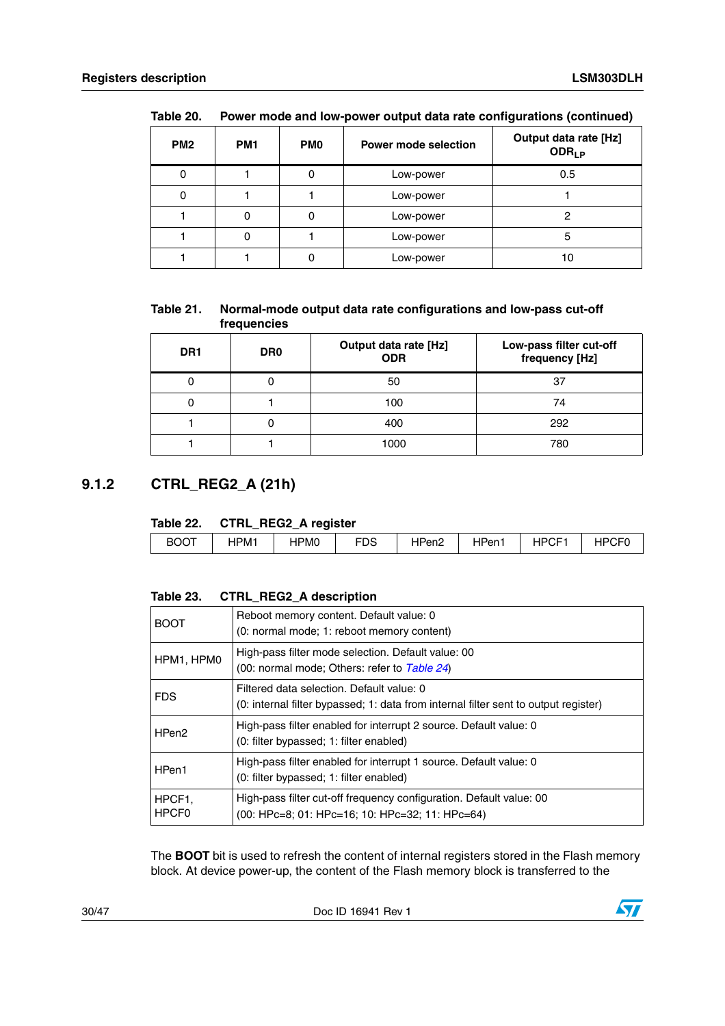| PM <sub>2</sub> | PM <sub>1</sub> | <b>PMO</b> | <b>Power mode selection</b> | Output data rate [Hz]<br>ODR <sub>LP</sub> |
|-----------------|-----------------|------------|-----------------------------|--------------------------------------------|
|                 |                 | 0          | Low-power                   | 0.5                                        |
|                 |                 |            | Low-power                   |                                            |
|                 |                 |            | Low-power                   |                                            |
|                 |                 |            | Low-power                   | 5                                          |
|                 |                 |            | Low-power                   |                                            |

**Table 20. Power mode and low-power output data rate configurations (continued)**

#### <span id="page-29-1"></span>**Table 21. Normal-mode output data rate configurations and low-pass cut-off frequencies**

| DR <sub>1</sub> | DR <sub>0</sub> | Output data rate [Hz]<br><b>ODR</b> | Low-pass filter cut-off<br>frequency [Hz] |
|-----------------|-----------------|-------------------------------------|-------------------------------------------|
|                 |                 | 50                                  | 37                                        |
|                 |                 | 100                                 | 74                                        |
|                 |                 | 400                                 | 292                                       |
|                 |                 | 1000                                | 780                                       |

### <span id="page-29-0"></span>**9.1.2 CTRL\_REG2\_A (21h)**

#### <span id="page-29-2"></span>**Table 22. CTRL\_REG2\_A register**

|             |      | _<br>-- |           |           |           |                        |        |
|-------------|------|---------|-----------|-----------|-----------|------------------------|--------|
| <b>BOOT</b> | IPM1 | HPM0    | rnc<br>טש | יen⊵<br>. | In<br>Pen | $\sim$<br>-<br>⊣۲<br>◡ | ш<br>◡ |
|             |      |         |           |           |           |                        |        |

#### <span id="page-29-3"></span>**Table 23. CTRL\_REG2\_A description**

| <b>BOOT</b>                 | Reboot memory content. Default value: 0<br>(0: normal mode; 1: reboot memory content)                                            |
|-----------------------------|----------------------------------------------------------------------------------------------------------------------------------|
| HPM1, HPM0                  | High-pass filter mode selection. Default value: 00<br>(00: normal mode; Others: refer to Table 24)                               |
| <b>FDS</b>                  | Filtered data selection. Default value: 0<br>(0: internal filter bypassed; 1: data from internal filter sent to output register) |
| HPen <sub>2</sub>           | High-pass filter enabled for interrupt 2 source. Default value: 0<br>(0: filter bypassed; 1: filter enabled)                     |
| HPen1                       | High-pass filter enabled for interrupt 1 source. Default value: 0<br>(0: filter bypassed; 1: filter enabled)                     |
| HPCF1.<br>HPCF <sub>0</sub> | High-pass filter cut-off frequency configuration. Default value: 00<br>(00: HPc=8; 01: HPc=16; 10: HPc=32; 11: HPc=64)           |

The **BOOT** bit is used to refresh the content of internal registers stored in the Flash memory block. At device power-up, the content of the Flash memory block is transferred to the

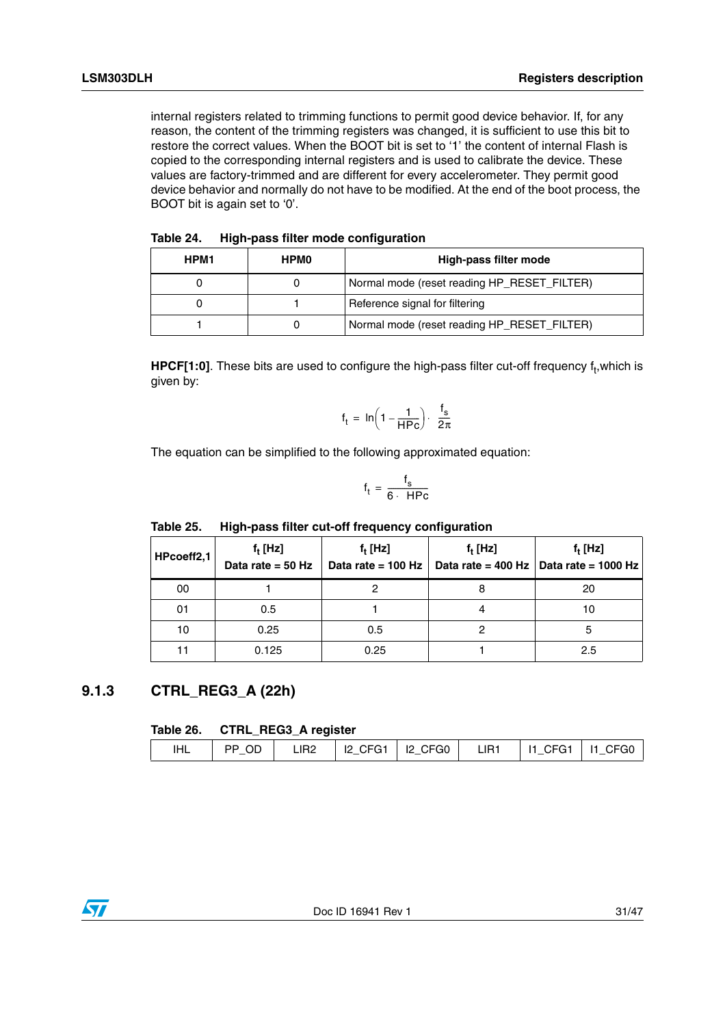internal registers related to trimming functions to permit good device behavior. If, for any reason, the content of the trimming registers was changed, it is sufficient to use this bit to restore the correct values. When the BOOT bit is set to '1' the content of internal Flash is copied to the corresponding internal registers and is used to calibrate the device. These values are factory-trimmed and are different for every accelerometer. They permit good device behavior and normally do not have to be modified. At the end of the boot process, the BOOT bit is again set to '0'.

<span id="page-30-1"></span>

| <b>HPM1</b> | <b>HPMO</b> | High-pass filter mode                       |
|-------------|-------------|---------------------------------------------|
|             |             | Normal mode (reset reading HP_RESET_FILTER) |
|             |             | Reference signal for filtering              |
|             |             | Normal mode (reset reading HP_RESET_FILTER) |

**HPCF[1:0]**. These bits are used to configure the high-pass filter cut-off frequency f<sub>t</sub>,which is given by:

$$
f_t = \ln\left(1 - \frac{1}{HPC}\right) \cdot \frac{f_s}{2\pi}
$$

The equation can be simplified to the following approximated equation:

$$
f_t = \frac{f_s}{6 \cdot \text{ HPC}}
$$

| HPcoeff2,1 | $f_t$ [Hz]<br>Data rate = $50$ Hz | $f_t$ [Hz]<br>Data rate = 100 Hz | $f_t$ [Hz]<br>Data rate = $400$ Hz | $f_t$ [Hz]<br>Data rate = 1000 Hz |  |
|------------|-----------------------------------|----------------------------------|------------------------------------|-----------------------------------|--|
| 00         |                                   |                                  |                                    | 20                                |  |
| 01         | 0.5                               |                                  |                                    | 10                                |  |
| 10         | 0.25                              | 0.5                              |                                    |                                   |  |
|            | 0.125                             | 0.25                             |                                    | 2.5                               |  |

#### <span id="page-30-2"></span>Table 25. **Table 25. High-pass filter cut-off frequency configuration**

### <span id="page-30-0"></span>**9.1.3 CTRL\_REG3\_A (22h)**

#### <span id="page-30-3"></span>**Table 26. CTRL\_REG3\_A register**

| IHL | ∟ PP_OD I ' |  |  | LIR2   I2_CFG1   I2_CFG0   LIR1   I1_CFG1   I1_CFG0 |  |
|-----|-------------|--|--|-----------------------------------------------------|--|
|     |             |  |  |                                                     |  |

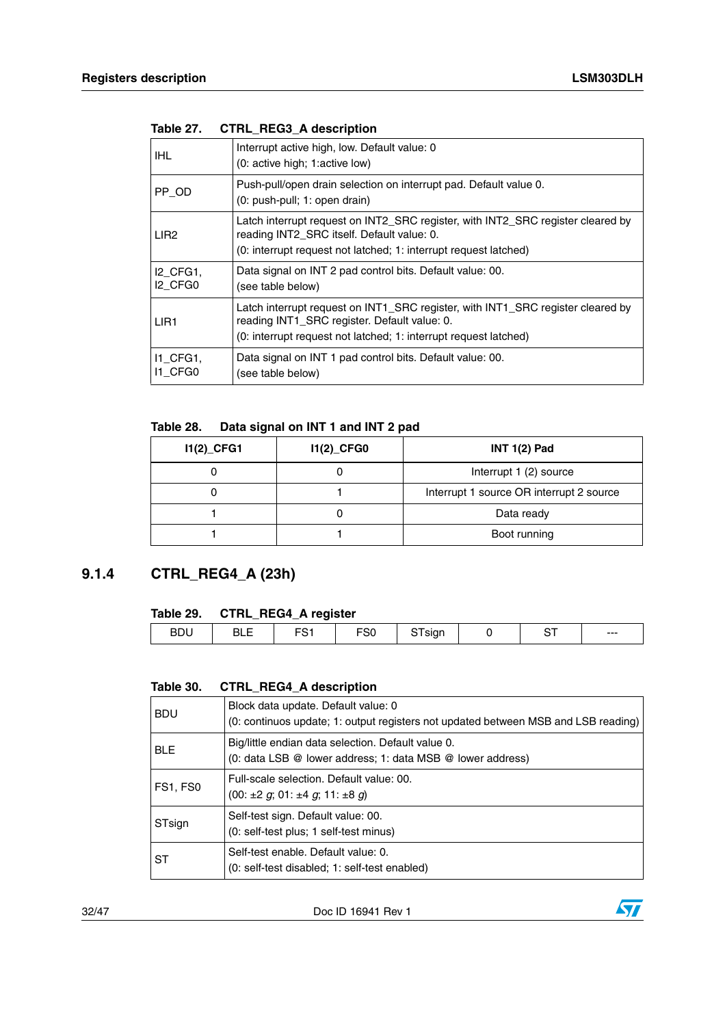| IHL                                                | Interrupt active high, low. Default value: 0<br>(0: active high; 1: active low)                                                                                                                     |
|----------------------------------------------------|-----------------------------------------------------------------------------------------------------------------------------------------------------------------------------------------------------|
| PP OD                                              | Push-pull/open drain selection on interrupt pad. Default value 0.<br>(0: push-pull; 1: open drain)                                                                                                  |
| LIR <sub>2</sub>                                   | Latch interrupt request on INT2_SRC register, with INT2_SRC register cleared by<br>reading INT2_SRC itself. Default value: 0.<br>(0: interrupt request not latched; 1: interrupt request latched)   |
| <b>I2 CFG1,</b><br>I <sub>2</sub> CFG <sub>0</sub> | Data signal on INT 2 pad control bits. Default value: 00.<br>(see table below)                                                                                                                      |
| LIR <sub>1</sub>                                   | Latch interrupt request on INT1_SRC register, with INT1_SRC register cleared by<br>reading INT1_SRC register. Default value: 0.<br>(0: interrupt request not latched; 1: interrupt request latched) |
| 11 CFG1,<br>I1 CFG0                                | Data signal on INT 1 pad control bits. Default value: 00.<br>(see table below)                                                                                                                      |

#### <span id="page-31-1"></span>**Table 27. CTRL\_REG3\_A description**

#### <span id="page-31-2"></span>**Table 28. Data signal on INT 1 and INT 2 pad**

| $11(2)$ <sub>CFG1</sub> | $11(2)$ <sub>CFG0</sub> | $INT 1(2)$ Pad                           |
|-------------------------|-------------------------|------------------------------------------|
|                         |                         | Interrupt 1 (2) source                   |
|                         |                         | Interrupt 1 source OR interrupt 2 source |
|                         |                         | Data ready                               |
|                         |                         | Boot running                             |

### <span id="page-31-0"></span>**9.1.4 CTRL\_REG4\_A (23h)**

#### <span id="page-31-3"></span>**Table 29. CTRL\_REG4\_A register**

|                          |            | _<br>.                    |            |  |            |     |
|--------------------------|------------|---------------------------|------------|--|------------|-----|
| <b>DDL</b><br><b>BDU</b> | ---<br>___ | $\sim$ $\sim$ $\sim$<br>ິ | $ -$<br>ou |  | $\sim$ $-$ | --- |
|                          |            |                           |            |  |            |     |

#### <span id="page-31-4"></span>**Table 30. CTRL\_REG4\_A description**

| <b>BDU</b> | Block data update. Default value: 0<br>(0: continuos update; 1: output registers not updated between MSB and LSB reading) |
|------------|---------------------------------------------------------------------------------------------------------------------------|
| <b>BLE</b> | Big/little endian data selection. Default value 0.<br>(0: data LSB @ lower address; 1: data MSB @ lower address)          |
| FS1, FS0   | Full-scale selection. Default value: 00.<br>$(00: \pm 2 \text{ g}; 01: \pm 4 \text{ g}; 11: \pm 8 \text{ g})$             |
| STsign     | Self-test sign. Default value: 00.<br>(0: self-test plus; 1 self-test minus)                                              |
| SТ         | Self-test enable. Default value: 0.<br>(0: self-test disabled; 1: self-test enabled)                                      |

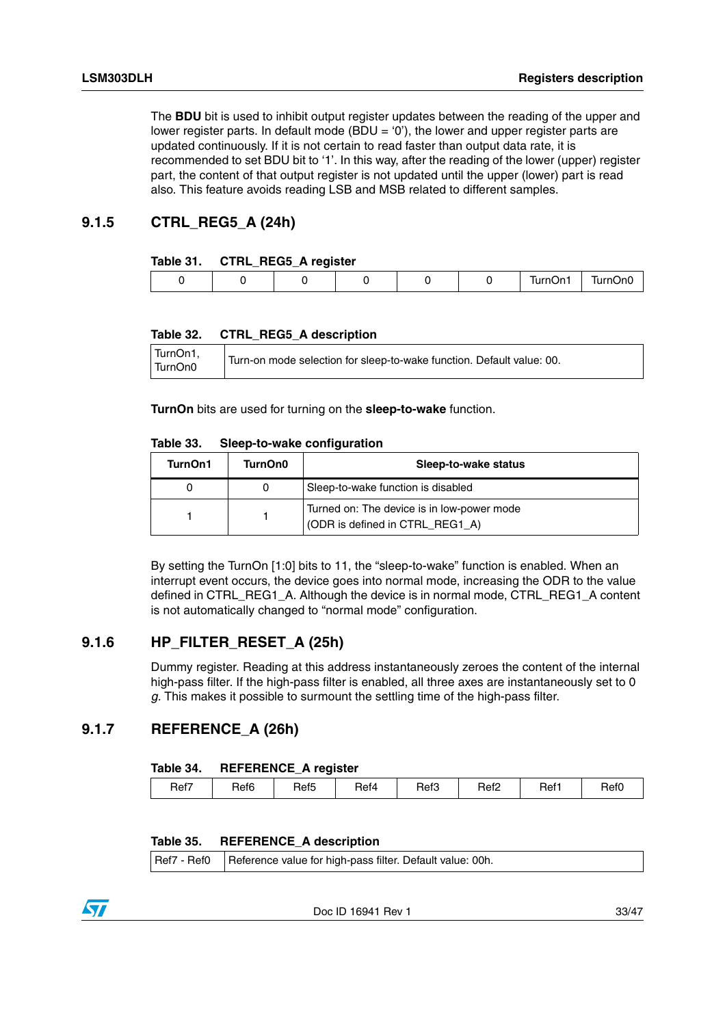The **BDU** bit is used to inhibit output register updates between the reading of the upper and lower register parts. In default mode (BDU = '0'), the lower and upper register parts are updated continuously. If it is not certain to read faster than output data rate, it is recommended to set BDU bit to '1'. In this way, after the reading of the lower (upper) register part, the content of that output register is not updated until the upper (lower) part is read also. This feature avoids reading LSB and MSB related to different samples.

#### <span id="page-32-0"></span>**9.1.5 CTRL\_REG5\_A (24h)**

#### <span id="page-32-3"></span>**Table 31. CTRL\_REG5\_A register**

|  |  |  | .<br>$\overline{\phantom{a}}$ | .<br>m.<br> |
|--|--|--|-------------------------------|-------------|
|  |  |  |                               |             |

#### <span id="page-32-4"></span>**Table 32. CTRL\_REG5\_A description**

| TurnOn1,<br>TurnOn0 | Turn-on mode selection for sleep-to-wake function. Default value: 00. |
|---------------------|-----------------------------------------------------------------------|
|---------------------|-----------------------------------------------------------------------|

**TurnOn** bits are used for turning on the **sleep-to-wake** function.

<span id="page-32-5"></span>

| TurnOn1 | TurnOn0 | Sleep-to-wake status                                                          |
|---------|---------|-------------------------------------------------------------------------------|
|         |         | Sleep-to-wake function is disabled                                            |
|         |         | Turned on: The device is in low-power mode<br>(ODR is defined in CTRL_REG1_A) |

By setting the TurnOn [1:0] bits to 11, the "sleep-to-wake" function is enabled. When an interrupt event occurs, the device goes into normal mode, increasing the ODR to the value defined in CTRL\_REG1\_A. Although the device is in normal mode, CTRL\_REG1\_A content is not automatically changed to "normal mode" configuration.

#### <span id="page-32-1"></span>**9.1.6 HP\_FILTER\_RESET\_A (25h)**

Dummy register. Reading at this address instantaneously zeroes the content of the internal high-pass filter. If the high-pass filter is enabled, all three axes are instantaneously set to 0 *g.* This makes it possible to surmount the settling time of the high-pass filter.

### <span id="page-32-2"></span>**9.1.7 REFERENCE\_A (26h)**

#### <span id="page-32-6"></span>**Table 34. REFERENCE\_A register**

| Ref3<br>Ref <sub>2</sub><br>Ref <sub>6</sub><br>Ref1<br>Ref4<br>Ref <sub>5</sub><br>Ref7<br>Ref0 |
|--------------------------------------------------------------------------------------------------|
|--------------------------------------------------------------------------------------------------|

#### <span id="page-32-7"></span>**Table 35. REFERENCE\_A description**

Ref7 - Ref0 Reference value for high-pass filter. Default value: 00h.

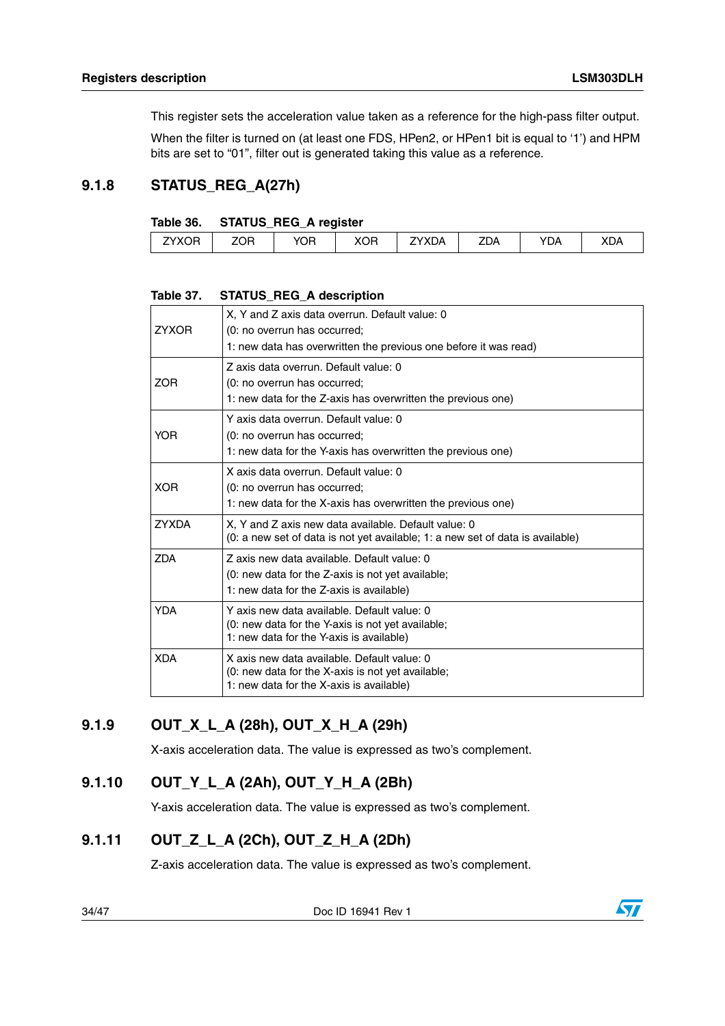This register sets the acceleration value taken as a reference for the high-pass filter output.

When the filter is turned on (at least one FDS, HPen2, or HPen1 bit is equal to '1') and HPM bits are set to "01", filter out is generated taking this value as a reference.

### <span id="page-33-0"></span>**9.1.8 STATUS\_REG\_A(27h)**

#### <span id="page-33-4"></span>**Table 36. STATUS\_REG\_A register**

| YOR<br>ZYXOR<br>⊡∩צ<br>ZOR<br><b>ZDA</b><br><b>7YXDA</b><br>'DA<br><b>XDA</b><br>חשמ |
|--------------------------------------------------------------------------------------|
|--------------------------------------------------------------------------------------|

#### <span id="page-33-5"></span>**Table 37. STATUS\_REG\_A description**

| <b>ZYXOR</b> | X, Y and Z axis data overrun. Default value: 0<br>(0: no overrun has occurred;<br>1: new data has overwritten the previous one before it was read) |
|--------------|----------------------------------------------------------------------------------------------------------------------------------------------------|
| <b>ZOR</b>   | Z axis data overrun. Default value: 0<br>(0: no overrun has occurred;<br>1: new data for the Z-axis has overwritten the previous one)              |
| <b>YOR</b>   | Y axis data overrun. Default value: 0<br>(0: no overrun has occurred;<br>1: new data for the Y-axis has overwritten the previous one)              |
| <b>XOR</b>   | X axis data overrun. Default value: 0<br>(0: no overrun has occurred;<br>1: new data for the X-axis has overwritten the previous one)              |
| <b>ZYXDA</b> | X, Y and Z axis new data available. Default value: 0<br>(0: a new set of data is not yet available; 1: a new set of data is available)             |
| <b>ZDA</b>   | Z axis new data available. Default value: 0<br>(0: new data for the Z-axis is not yet available;<br>1: new data for the Z-axis is available)       |
| <b>YDA</b>   | Y axis new data available. Default value: 0<br>(0: new data for the Y-axis is not yet available;<br>1: new data for the Y-axis is available)       |
| <b>XDA</b>   | X axis new data available. Default value: 0<br>(0: new data for the X-axis is not yet available;<br>1: new data for the X-axis is available)       |

### <span id="page-33-1"></span>**9.1.9 OUT\_X\_L\_A (28h), OUT\_X\_H\_A (29h)**

X-axis acceleration data. The value is expressed as two's complement.

### <span id="page-33-2"></span>**9.1.10 OUT\_Y\_L\_A (2Ah), OUT\_Y\_H\_A (2Bh)**

Y-axis acceleration data. The value is expressed as two's complement.

### <span id="page-33-3"></span>**9.1.11 OUT\_Z\_L\_A (2Ch), OUT\_Z\_H\_A (2Dh)**

Z-axis acceleration data. The value is expressed as two's complement.

34/47 Doc ID 16941 Rev 1

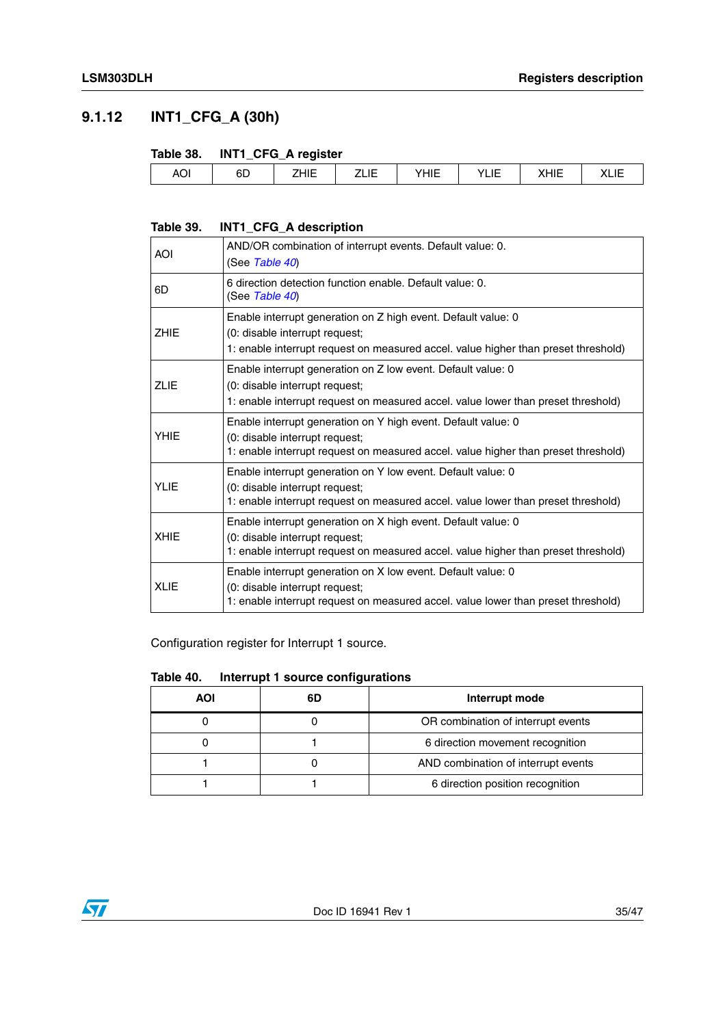### <span id="page-34-0"></span>**9.1.12 INT1\_CFG\_A (30h)**

#### <span id="page-34-1"></span>**Table 38. INT1\_CFG\_A register**

|            | ____     | ___<br>-             |             |     |                              |                                   |                 |
|------------|----------|----------------------|-------------|-----|------------------------------|-----------------------------------|-----------------|
| <b>AOI</b> | oπ<br>бL | $\cdots$<br><br>____ | ----<br>___ | --- | $\cdot$<br>. .<br><b>LIL</b> | $\sqrt{111}$<br>_<br>ᇻᆮ<br>$\sim$ | ◝◣▃▮▃<br>- ---- |
|            |          |                      |             |     |                              |                                   |                 |

#### <span id="page-34-2"></span>**Table 39. INT1\_CFG\_A description**

| AOI         | AND/OR combination of interrupt events. Default value: 0.<br>(See Table 40)                                                                                                           |
|-------------|---------------------------------------------------------------------------------------------------------------------------------------------------------------------------------------|
| 6D          | 6 direction detection function enable. Default value: 0.<br>(See Table 40)                                                                                                            |
| ZHIE        | Enable interrupt generation on Z high event. Default value: 0<br>(0: disable interrupt request;<br>1: enable interrupt request on measured accel. value higher than preset threshold) |
| <b>ZLIE</b> | Enable interrupt generation on Z low event. Default value: 0<br>(0: disable interrupt request;<br>1: enable interrupt request on measured accel. value lower than preset threshold)   |
| YHIE        | Enable interrupt generation on Y high event. Default value: 0<br>(0: disable interrupt request;<br>1: enable interrupt request on measured accel. value higher than preset threshold) |
| YLIE        | Enable interrupt generation on Y low event. Default value: 0<br>(0: disable interrupt request;<br>1: enable interrupt request on measured accel. value lower than preset threshold)   |
| <b>XHIE</b> | Enable interrupt generation on X high event. Default value: 0<br>(0: disable interrupt request;<br>1: enable interrupt request on measured accel. value higher than preset threshold) |
| XLIE        | Enable interrupt generation on X low event. Default value: 0<br>(0: disable interrupt request;<br>1: enable interrupt request on measured accel. value lower than preset threshold)   |

Configuration register for Interrupt 1 source.

#### <span id="page-34-3"></span>**Table 40. Interrupt 1 source configurations**

| AOI | 6D | Interrupt mode                      |
|-----|----|-------------------------------------|
|     |    | OR combination of interrupt events  |
|     |    | 6 direction movement recognition    |
|     |    | AND combination of interrupt events |
|     |    | 6 direction position recognition    |

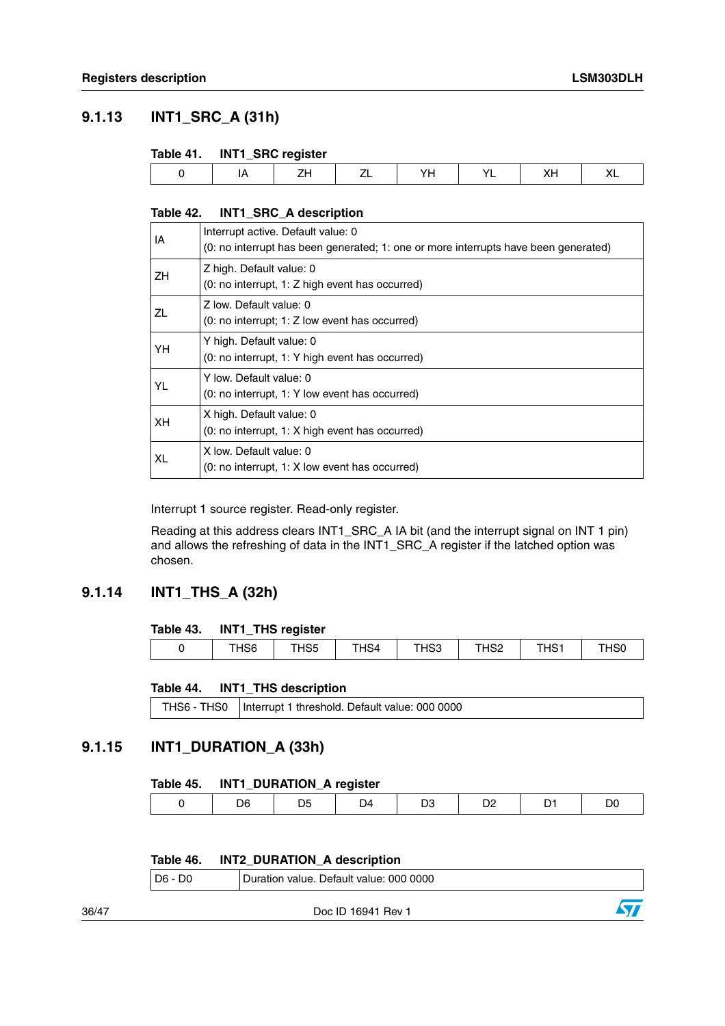### <span id="page-35-0"></span>**9.1.13 INT1\_SRC\_A (31h)**

#### <span id="page-35-3"></span>**Table 41. INT1\_SRC register**

|                                                                                    | $\overline{\phantom{a}}$ |  |  |                          |
|------------------------------------------------------------------------------------|--------------------------|--|--|--------------------------|
| <b>The Contract Contract Contract Contract</b><br>--<br>$ -$<br>$-$<br>.<br>$\sim$ |                          |  |  | $\overline{\phantom{a}}$ |

#### <span id="page-35-4"></span>**Table 42. INT1\_SRC\_A description**

| IA        | Interrupt active. Default value: 0<br>(0: no interrupt has been generated; 1: one or more interrupts have been generated) |
|-----------|---------------------------------------------------------------------------------------------------------------------------|
| ZH.       | Z high. Default value: 0<br>(0: no interrupt, 1: Z high event has occurred)                                               |
| ZL        | Z low. Default value: 0<br>$(0: no$ interrupt; 1: Z low event has occurred)                                               |
| YH        | Y high. Default value: 0<br>(0: no interrupt, 1: Y high event has occurred)                                               |
| <b>YL</b> | Y low. Default value: 0<br>(0: no interrupt, 1: Y low event has occurred)                                                 |
| XH.       | X high. Default value: 0<br>(0: no interrupt, 1: X high event has occurred)                                               |
| <b>XL</b> | X low. Default value: 0<br>(0: no interrupt, 1: X low event has occurred)                                                 |

Interrupt 1 source register. Read-only register.

Reading at this address clears INT1\_SRC\_A IA bit (and the interrupt signal on INT 1 pin) and allows the refreshing of data in the INT1\_SRC\_A register if the latched option was chosen.

#### <span id="page-35-1"></span>**9.1.14 INT1\_THS\_A (32h)**

#### <span id="page-35-5"></span>**Table 43. INT1\_THS register**

| THS <sub>6</sub><br>$\sim$<br>$T_{\rm H}$<br>ᆚᄋნ<br>THS1<br>$\sim$<br>T1104<br>$\sim$<br>HS4<br>nov<br>ოაა<br>ાວບ<br>ےں ا |  |  |  |  |
|---------------------------------------------------------------------------------------------------------------------------|--|--|--|--|

#### <span id="page-35-6"></span>**Table 44. INT1\_THS description**

|  | THS6 - THS0   Interrupt 1 threshold. Default value: 000 0000 |
|--|--------------------------------------------------------------|
|--|--------------------------------------------------------------|

#### <span id="page-35-2"></span>**9.1.15 INT1\_DURATION\_A (33h)**

#### <span id="page-35-7"></span>**Table 45. INT1\_DURATION\_A register**

| ገና<br>м<br>14 |
|---------------|
|---------------|

#### <span id="page-35-8"></span>**Table 46. INT2\_DURATION\_A description**

|       | D6 - D0<br>Duration value. Default value: 000 0000 |                    |  |  |  |  |
|-------|----------------------------------------------------|--------------------|--|--|--|--|
| 36/47 |                                                    | Doc ID 16941 Rev 1 |  |  |  |  |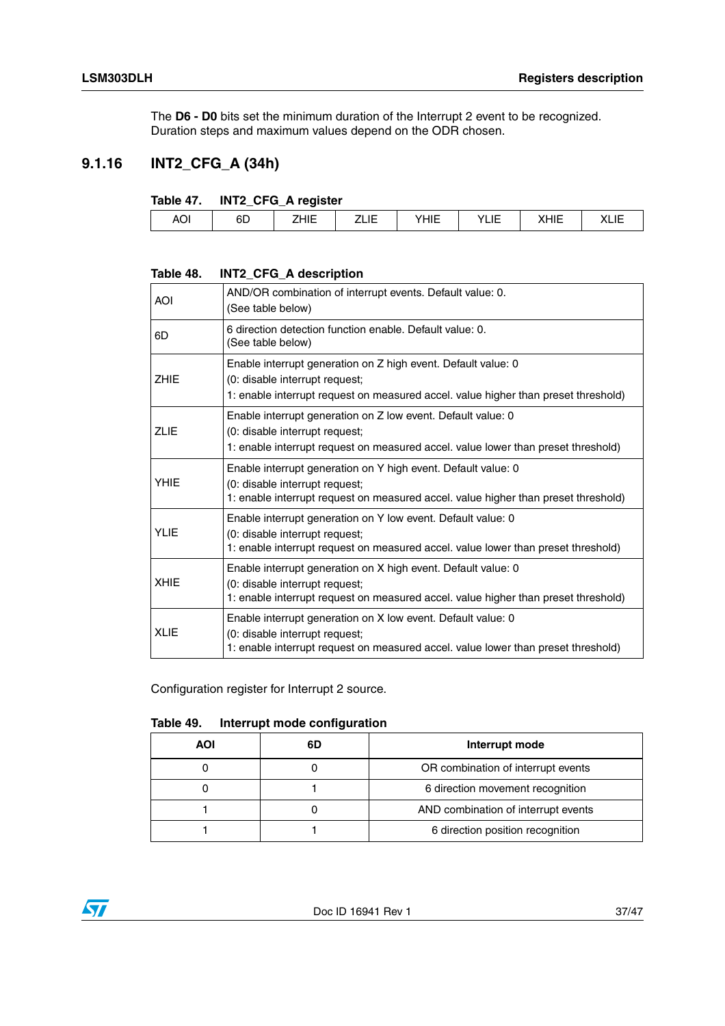The **D6 - D0** bits set the minimum duration of the Interrupt 2 event to be recognized. Duration steps and maximum values depend on the ODR chosen.

### <span id="page-36-0"></span>**9.1.16 INT2\_CFG\_A (34h)**

#### <span id="page-36-1"></span>**Table 47. INT2\_CFG\_A register**

<span id="page-36-2"></span>

| Table 48.   | INT2_CFG_A description                                                                                                                                                                |
|-------------|---------------------------------------------------------------------------------------------------------------------------------------------------------------------------------------|
| <b>AOI</b>  | AND/OR combination of interrupt events. Default value: 0.<br>(See table below)                                                                                                        |
| 6D          | 6 direction detection function enable. Default value: 0.<br>(See table below)                                                                                                         |
| <b>ZHIE</b> | Enable interrupt generation on Z high event. Default value: 0<br>(0: disable interrupt request;<br>1: enable interrupt request on measured accel. value higher than preset threshold) |
| <b>ZLIE</b> | Enable interrupt generation on Z low event. Default value: 0<br>(0: disable interrupt request;<br>1: enable interrupt request on measured accel. value lower than preset threshold)   |
| <b>YHIE</b> | Enable interrupt generation on Y high event. Default value: 0<br>(0: disable interrupt request;<br>1: enable interrupt request on measured accel. value higher than preset threshold) |
| <b>YLIE</b> | Enable interrupt generation on Y low event. Default value: 0<br>(0: disable interrupt request;<br>1: enable interrupt request on measured accel. value lower than preset threshold)   |
| <b>XHIE</b> | Enable interrupt generation on X high event. Default value: 0<br>(0: disable interrupt request;<br>1: enable interrupt request on measured accel. value higher than preset threshold) |
| <b>XLIE</b> | Enable interrupt generation on X low event. Default value: 0<br>(0: disable interrupt request;<br>1: enable interrupt request on measured accel. value lower than preset threshold)   |

Configuration register for Interrupt 2 source.

#### <span id="page-36-3"></span>**Table 49. Interrupt mode configuration**

| AOI | 6D | Interrupt mode                      |  |  |
|-----|----|-------------------------------------|--|--|
|     |    | OR combination of interrupt events  |  |  |
|     |    | 6 direction movement recognition    |  |  |
|     |    | AND combination of interrupt events |  |  |
|     |    | 6 direction position recognition    |  |  |



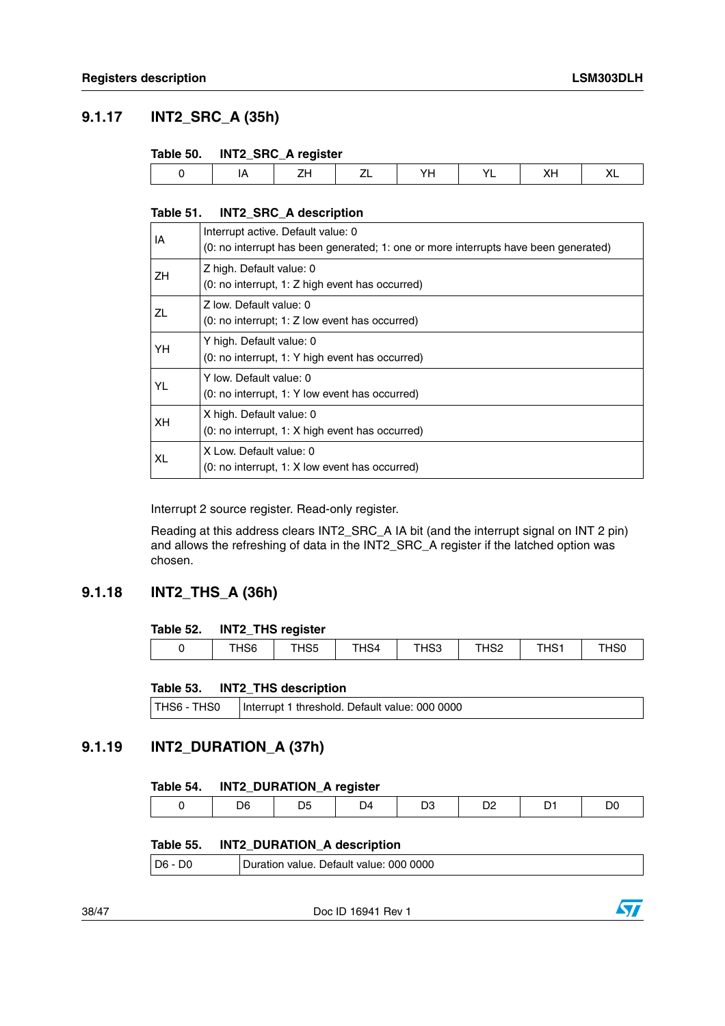### <span id="page-37-0"></span>**9.1.17 INT2\_SRC\_A (35h)**

#### <span id="page-37-3"></span>**Table 50. INT2\_SRC\_A register**

| __ |  |  |  |
|----|--|--|--|
|    |  |  |  |
|    |  |  |  |

#### <span id="page-37-4"></span>**Table 51. INT2\_SRC\_A description**

| IA  | Interrupt active. Default value: 0<br>(0: no interrupt has been generated; 1: one or more interrupts have been generated) |
|-----|---------------------------------------------------------------------------------------------------------------------------|
| ZH. | Z high. Default value: 0<br>(0: no interrupt, 1: Z high event has occurred)                                               |
| ZL  | Z low. Default value: 0<br>$(0: no$ interrupt; 1: Z low event has occurred)                                               |
| YH  | Y high. Default value: 0<br>(0: no interrupt, 1: Y high event has occurred)                                               |
| YL  | Y low. Default value: 0<br>(0: no interrupt, 1: Y low event has occurred)                                                 |
| XH. | X high. Default value: 0<br>(0: no interrupt, 1: X high event has occurred)                                               |
| XL  | X Low. Default value: 0<br>(0: no interrupt, 1: X low event has occurred)                                                 |

Interrupt 2 source register. Read-only register.

Reading at this address clears INT2\_SRC\_A IA bit (and the interrupt signal on INT 2 pin) and allows the refreshing of data in the INT2\_SRC\_A register if the latched option was chosen.

#### <span id="page-37-1"></span>**9.1.18 INT2\_THS\_A (36h)**

#### <span id="page-37-5"></span>**Table 52. INT2\_THS register**

| THS <sub>6</sub><br>$\sim$<br>$T_{\rm H}$<br>ᆚᄋნ<br>THS1<br>$\sim$<br>T1104<br>$\sim$<br>HS4<br>nov<br>ოაა<br>ાວບ<br>ےں ا |  |  |  |  |
|---------------------------------------------------------------------------------------------------------------------------|--|--|--|--|

#### <span id="page-37-6"></span>**Table 53. INT2\_THS description**

| THS6 - THS0 | Interrupt 1 threshold. Default value: 000 0000 |  |
|-------------|------------------------------------------------|--|
|-------------|------------------------------------------------|--|

### <span id="page-37-2"></span>**9.1.19 INT2\_DURATION\_A (37h)**

#### <span id="page-37-7"></span>**Table 54. INT2\_DURATION\_A register**

|  | יי<br>. . |  | ΙZ<br>. . |  |  |  |  |
|--|-----------|--|-----------|--|--|--|--|
|--|-----------|--|-----------|--|--|--|--|

#### <span id="page-37-8"></span>**Table 55. INT2\_DURATION\_A description**

| $D6 - D0$<br>Duration value. Default value: 000 0000 |
|------------------------------------------------------|
|------------------------------------------------------|

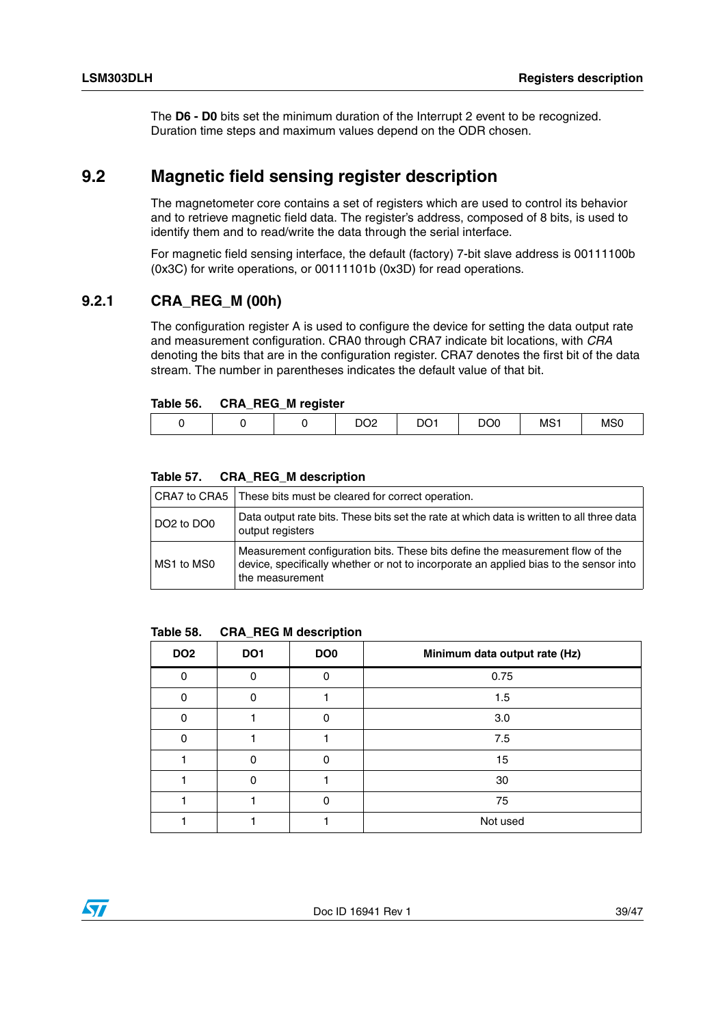The **D6 - D0** bits set the minimum duration of the Interrupt 2 event to be recognized. Duration time steps and maximum values depend on the ODR chosen.

### <span id="page-38-0"></span>**9.2 Magnetic field sensing register description**

The magnetometer core contains a set of registers which are used to control its behavior and to retrieve magnetic field data. The register's address, composed of 8 bits, is used to identify them and to read/write the data through the serial interface.

For magnetic field sensing interface, the default (factory) 7-bit slave address is 00111100b (0x3C) for write operations, or 00111101b (0x3D) for read operations.

#### <span id="page-38-1"></span>**9.2.1 CRA\_REG\_M (00h)**

The configuration register A is used to configure the device for setting the data output rate and measurement configuration. CRA0 through CRA7 indicate bit locations, with *CRA*  denoting the bits that are in the configuration register. CRA7 denotes the first bit of the data stream. The number in parentheses indicates the default value of that bit.

#### <span id="page-38-2"></span>**Table 56. CRA\_REG\_M register**

|  | __ | noo | DO <sub>1</sub> | DO <sub>0</sub> | MS <sub>1</sub> | <b>MSC</b> |
|--|----|-----|-----------------|-----------------|-----------------|------------|
|  |    | ∠ט  |                 |                 |                 |            |

#### <span id="page-38-3"></span>**Table 57. CRA\_REG\_M description**

|                                    | CRA7 to CRA5   These bits must be cleared for correct operation.                                                                                                                          |
|------------------------------------|-------------------------------------------------------------------------------------------------------------------------------------------------------------------------------------------|
| DO <sub>2</sub> to DO <sub>0</sub> | Data output rate bits. These bits set the rate at which data is written to all three data<br>output registers                                                                             |
| MS1 to MS0                         | Measurement configuration bits. These bits define the measurement flow of the<br>device, specifically whether or not to incorporate an applied bias to the sensor into<br>the measurement |

#### <span id="page-38-4"></span>**Table 58. CRA\_REG M description**

| DO <sub>2</sub> | DO <sub>1</sub> | DO <sub>0</sub> | Minimum data output rate (Hz) |
|-----------------|-----------------|-----------------|-------------------------------|
| n               |                 | 0               | 0.75                          |
|                 |                 |                 | 1.5                           |
|                 |                 | ი               | 3.0                           |
|                 |                 |                 | 7.5                           |
|                 |                 | O               | 15                            |
|                 |                 |                 | 30                            |
|                 |                 |                 | 75                            |
|                 |                 |                 | Not used                      |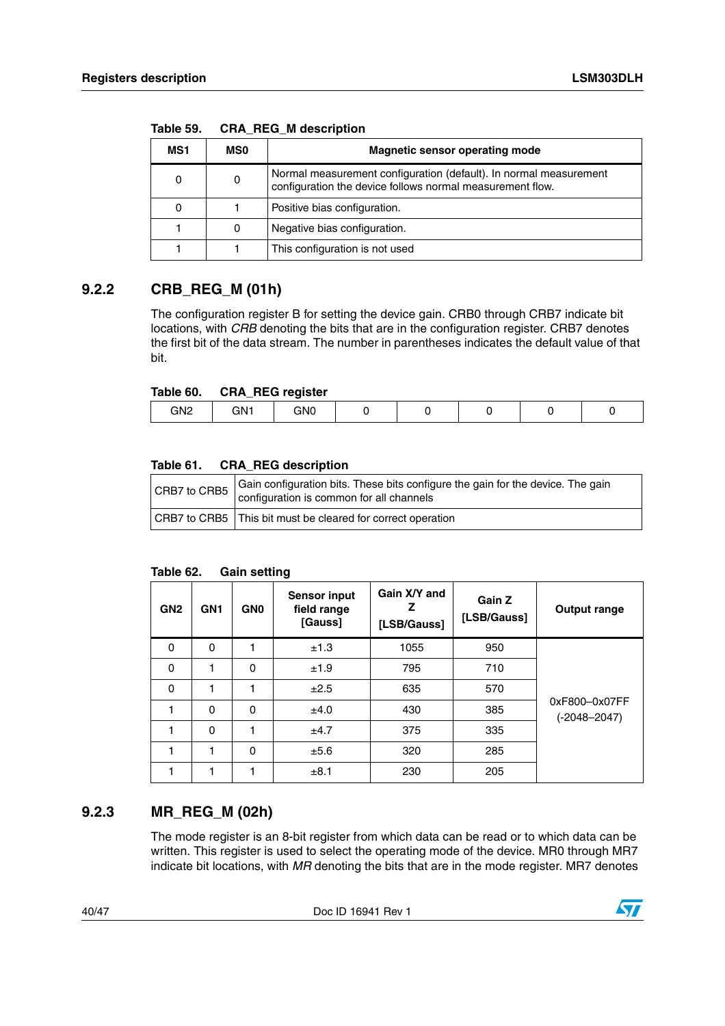|     |            | $5.071$ $1.55$ $1.73$ $1.0000$ $1.0000$                                                                                        |
|-----|------------|--------------------------------------------------------------------------------------------------------------------------------|
| MS1 | <b>MSO</b> | <b>Magnetic sensor operating mode</b>                                                                                          |
|     | 0          | Normal measurement configuration (default). In normal measurement<br>configuration the device follows normal measurement flow. |
|     |            | Positive bias configuration.                                                                                                   |
|     | 0          | Negative bias configuration.                                                                                                   |
|     |            | This configuration is not used                                                                                                 |

<span id="page-39-2"></span>**Table 59. CRA\_REG\_M description**

#### <span id="page-39-0"></span>**9.2.2 CRB\_REG\_M (01h)**

The configuration register B for setting the device gain. CRB0 through CRB7 indicate bit locations, with *CRB* denoting the bits that are in the configuration register. CRB7 denotes the first bit of the data stream. The number in parentheses indicates the default value of that bit.

#### <span id="page-39-3"></span>**Table 60. CRA\_REG register**

| __              |     | ___<br>- - |  |  |  |
|-----------------|-----|------------|--|--|--|
| GN <sub>2</sub> | GN1 | GNO        |  |  |  |
|                 |     |            |  |  |  |

#### <span id="page-39-4"></span>**Table 61. CRA\_REG description**

| CRB7 to CRB5 | Gain configuration bits. These bits configure the gain for the device. The gain<br>configuration is common for all channels |
|--------------|-----------------------------------------------------------------------------------------------------------------------------|
|              | CRB7 to CRB5 This bit must be cleared for correct operation                                                                 |

#### <span id="page-39-5"></span>**Table 62. Gain setting**

| GN <sub>2</sub> | GN <sub>1</sub> | <b>GNO</b> | <b>Sensor input</b><br>field range<br>[Gauss] | Gain X/Y and<br>[LSB/Gauss] | Gain Z<br>[LSB/Gauss] | <b>Output range</b>               |
|-----------------|-----------------|------------|-----------------------------------------------|-----------------------------|-----------------------|-----------------------------------|
| 0               | 0               | 1          | ±1.3                                          | 1055                        | 950                   |                                   |
| $\Omega$        |                 | $\Omega$   | ±1.9                                          | 795                         | 710                   |                                   |
| $\Omega$        |                 | 1          | ±2.5                                          | 635                         | 570                   |                                   |
|                 | $\Omega$        | $\Omega$   | ±4.0                                          | 430                         | 385                   | 0xF800-0x07FF<br>$(-2048 - 2047)$ |
|                 | $\Omega$        | 1          | ±4.7                                          | 375                         | 335                   |                                   |
|                 |                 | $\Omega$   | ±5.6                                          | 320                         | 285                   |                                   |
|                 |                 | 1          | ±8.1                                          | 230                         | 205                   |                                   |

#### <span id="page-39-1"></span>**9.2.3 MR\_REG\_M (02h)**

The mode register is an 8-bit register from which data can be read or to which data can be written. This register is used to select the operating mode of the device. MR0 through MR7 indicate bit locations, with *MR* denoting the bits that are in the mode register. MR7 denotes

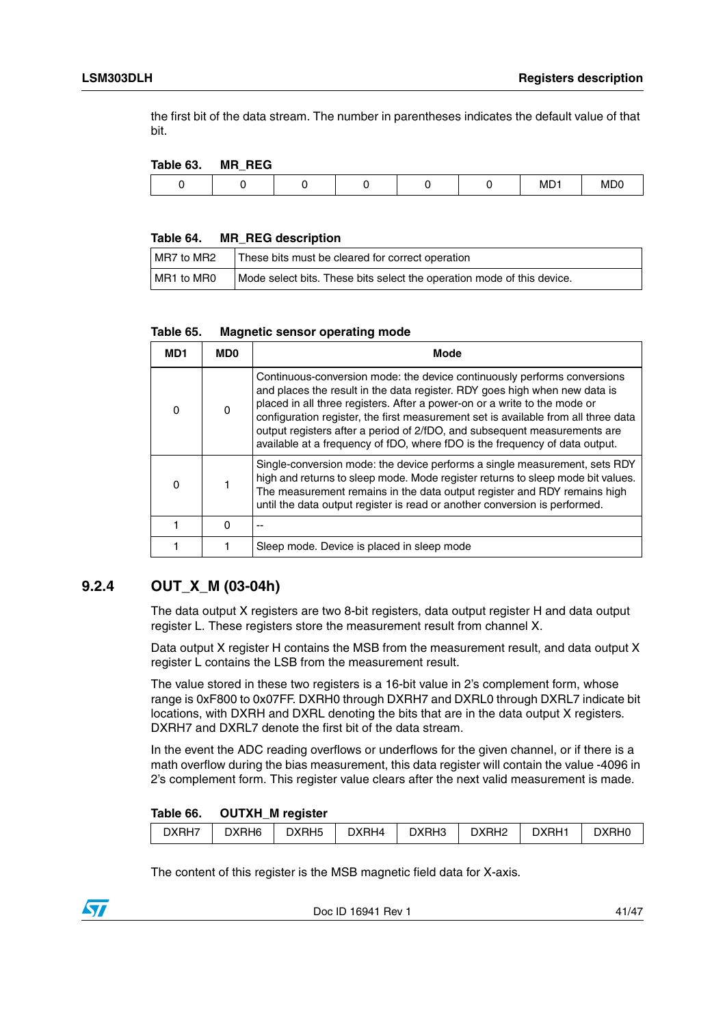the first bit of the data stream. The number in parentheses indicates the default value of that bit.

#### <span id="page-40-1"></span>**Table 63. MR\_REG**

| . |  |  |           |            |
|---|--|--|-----------|------------|
|   |  |  | <b>MD</b> | <b>MDC</b> |
|   |  |  |           |            |

#### <span id="page-40-2"></span>**Table 64. MR\_REG description**

| MR7 to MR2 | These bits must be cleared for correct operation                       |
|------------|------------------------------------------------------------------------|
| MR1 to MR0 | Mode select bits. These bits select the operation mode of this device. |

#### <span id="page-40-3"></span>**Table 65. Magnetic sensor operating mode**

| MD1      | MD0          | Mode                                                                                                                                                                                                                                                                                                                                                                                                                                                                                  |
|----------|--------------|---------------------------------------------------------------------------------------------------------------------------------------------------------------------------------------------------------------------------------------------------------------------------------------------------------------------------------------------------------------------------------------------------------------------------------------------------------------------------------------|
| $\Omega$ | <sup>0</sup> | Continuous-conversion mode: the device continuously performs conversions<br>and places the result in the data register. RDY goes high when new data is<br>placed in all three registers. After a power-on or a write to the mode or<br>configuration register, the first measurement set is available from all three data<br>output registers after a period of 2/fDO, and subsequent measurements are<br>available at a frequency of fDO, where fDO is the frequency of data output. |
| O        |              | Single-conversion mode: the device performs a single measurement, sets RDY<br>high and returns to sleep mode. Mode register returns to sleep mode bit values.<br>The measurement remains in the data output register and RDY remains high<br>until the data output register is read or another conversion is performed.                                                                                                                                                               |
|          | O            |                                                                                                                                                                                                                                                                                                                                                                                                                                                                                       |
|          |              | Sleep mode. Device is placed in sleep mode                                                                                                                                                                                                                                                                                                                                                                                                                                            |

#### <span id="page-40-0"></span>**9.2.4 OUT\_X\_M (03-04h)**

The data output X registers are two 8-bit registers, data output register H and data output register L. These registers store the measurement result from channel X.

Data output X register H contains the MSB from the measurement result, and data output X register L contains the LSB from the measurement result.

The value stored in these two registers is a 16-bit value in 2's complement form, whose range is 0xF800 to 0x07FF. DXRH0 through DXRH7 and DXRL0 through DXRL7 indicate bit locations, with DXRH and DXRL denoting the bits that are in the data output X registers. DXRH7 and DXRL7 denote the first bit of the data stream.

In the event the ADC reading overflows or underflows for the given channel, or if there is a math overflow during the bias measurement, this data register will contain the value -4096 in 2's complement form. This register value clears after the next valid measurement is made.

#### <span id="page-40-4"></span>**Table 66. OUTXH\_M register**

|       | __    |                   |       |       |                   |       |                   |
|-------|-------|-------------------|-------|-------|-------------------|-------|-------------------|
| DXRH7 | DXRH6 | DXRH <sub>5</sub> | DXRH4 | DXRH3 | DXRH <sub>2</sub> | DXRH1 | DXRH <sub>0</sub> |
|       |       |                   |       |       |                   |       |                   |

The content of this register is the MSB magnetic field data for X-axis.



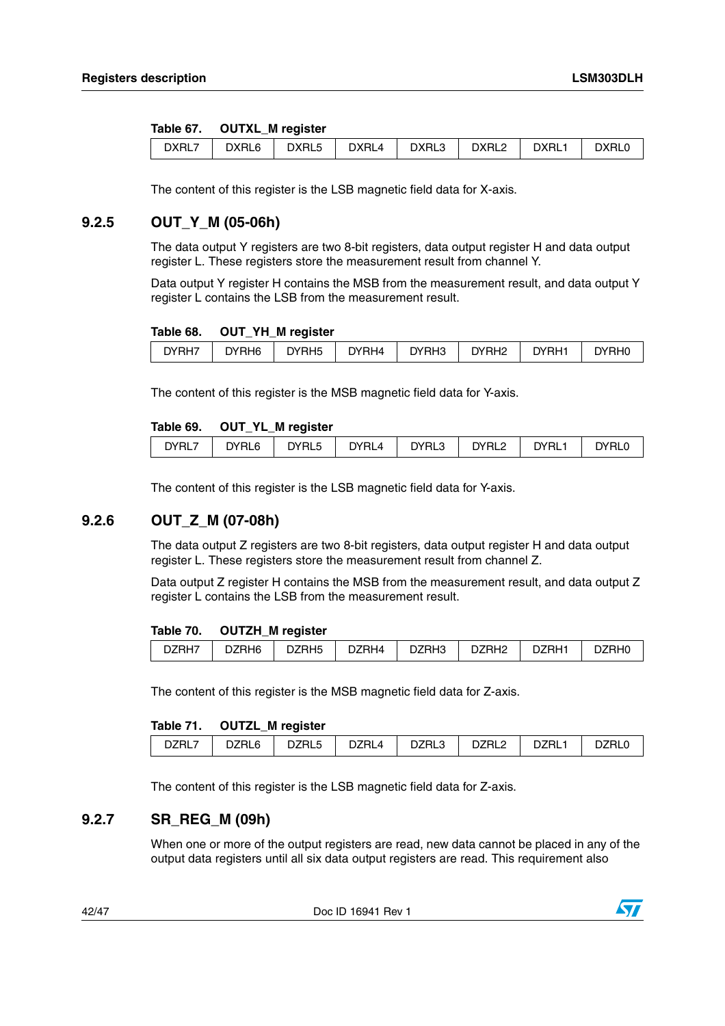#### <span id="page-41-3"></span>**Table 67. OUTXL\_M register**

| DXRL7 | DXRL6 | DXRL5 | <b>DXRL4</b> | DXRL3 | DXRL <sub>2</sub> | DXRL1 | <b>DXRL0</b> |
|-------|-------|-------|--------------|-------|-------------------|-------|--------------|
|       |       |       |              |       |                   |       |              |

The content of this register is the LSB magnetic field data for X-axis.

### <span id="page-41-0"></span>**9.2.5 OUT\_Y\_M (05-06h)**

The data output Y registers are two 8-bit registers, data output register H and data output register L. These registers store the measurement result from channel Y.

Data output Y register H contains the MSB from the measurement result, and data output Y register L contains the LSB from the measurement result.

#### <span id="page-41-4"></span>**Table 68. OUT\_YH\_M register**

| DYRH7 | DYRH <sub>6</sub> | DYRH <sub>5</sub> | DYRH4 | DYRH3 | DYRH <sub>2</sub> | DYRH <sup>-</sup> | DYRH0 |
|-------|-------------------|-------------------|-------|-------|-------------------|-------------------|-------|
|       |                   |                   |       |       |                   |                   |       |

The content of this register is the MSB magnetic field data for Y-axis.

#### <span id="page-41-5"></span>**Table 69. OUT\_YL\_M register**

| DYRL7<br><b>DYRL6</b><br>DYRL5<br>DYRL4<br>DYRL <sub>2</sub><br>DYRL1<br>DYRL3<br>DYRL0 |
|-----------------------------------------------------------------------------------------|
|-----------------------------------------------------------------------------------------|

The content of this register is the LSB magnetic field data for Y-axis.

#### <span id="page-41-1"></span>**9.2.6 OUT\_Z\_M (07-08h)**

The data output Z registers are two 8-bit registers, data output register H and data output register L. These registers store the measurement result from channel Z.

Data output Z register H contains the MSB from the measurement result, and data output Z register L contains the LSB from the measurement result.

#### <span id="page-41-6"></span>**Table 70. OUTZH\_M register**

|       |       | .                 |       |       |                   |       |       |
|-------|-------|-------------------|-------|-------|-------------------|-------|-------|
| DZRH7 | DZRH6 | DZRH <sub>5</sub> | DZRH4 | DZRH3 | DZRH <sub>2</sub> | DZRH1 | DZRH0 |

The content of this register is the MSB magnetic field data for Z-axis.

#### <span id="page-41-7"></span>**Table 71. OUTZL\_M register**

| DZRL7 | DZRL6 | __<br>DZRL5 | DZRL4 | DZRL3 | DZRL <sub>2</sub> | DZRL <sup>1</sup> | ∵≀∠RL⊾ |
|-------|-------|-------------|-------|-------|-------------------|-------------------|--------|
|       |       |             |       |       |                   |                   |        |

The content of this register is the LSB magnetic field data for Z-axis.

#### <span id="page-41-2"></span>**9.2.7 SR\_REG\_M (09h)**

When one or more of the output registers are read, new data cannot be placed in any of the output data registers until all six data output registers are read. This requirement also

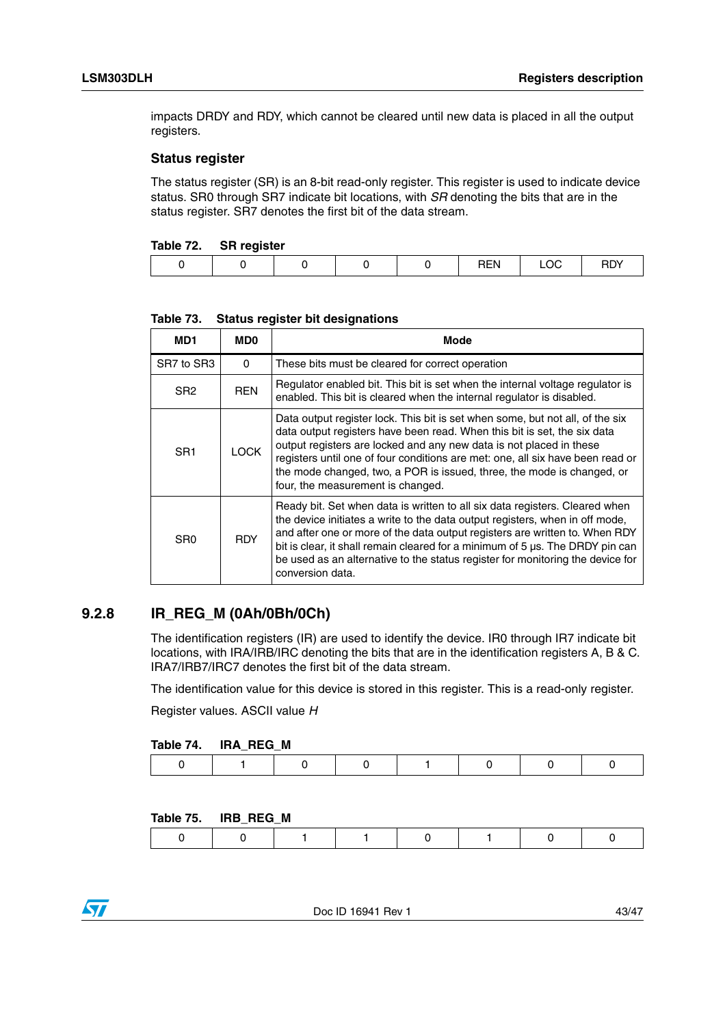impacts DRDY and RDY, which cannot be cleared until new data is placed in all the output registers.

#### **Status register**

The status register (SR) is an 8-bit read-only register. This register is used to indicate device status. SR0 through SR7 indicate bit locations, with *SR* denoting the bits that are in the status register. SR7 denotes the first bit of the data stream.

<span id="page-42-1"></span>

| Table 72. | <b>SR register</b> |
|-----------|--------------------|
|-----------|--------------------|

|  |  | . | ∟∪เ | ירו כ<br>ושח |
|--|--|---|-----|--------------|
|  |  |   |     |              |

| MD1             | <b>MD0</b>  | Mode                                                                                                                                                                                                                                                                                                                                                                                                                              |
|-----------------|-------------|-----------------------------------------------------------------------------------------------------------------------------------------------------------------------------------------------------------------------------------------------------------------------------------------------------------------------------------------------------------------------------------------------------------------------------------|
| SR7 to SR3      | $\Omega$    | These bits must be cleared for correct operation                                                                                                                                                                                                                                                                                                                                                                                  |
| SR <sub>2</sub> | <b>REN</b>  | Regulator enabled bit. This bit is set when the internal voltage regulator is<br>enabled. This bit is cleared when the internal regulator is disabled.                                                                                                                                                                                                                                                                            |
| SR <sub>1</sub> | <b>LOCK</b> | Data output register lock. This bit is set when some, but not all, of the six<br>data output registers have been read. When this bit is set, the six data<br>output registers are locked and any new data is not placed in these<br>registers until one of four conditions are met: one, all six have been read or<br>the mode changed, two, a POR is issued, three, the mode is changed, or<br>four, the measurement is changed. |
| S <sub>R0</sub> | <b>RDY</b>  | Ready bit. Set when data is written to all six data registers. Cleared when<br>the device initiates a write to the data output registers, when in off mode,<br>and after one or more of the data output registers are written to. When RDY<br>bit is clear, it shall remain cleared for a minimum of 5 µs. The DRDY pin can<br>be used as an alternative to the status register for monitoring the device for<br>conversion data. |

**Table 73. Status register bit designations**

#### <span id="page-42-0"></span>**9.2.8 IR\_REG\_M (0Ah/0Bh/0Ch)**

The identification registers (IR) are used to identify the device. IR0 through IR7 indicate bit locations, with IRA/IRB/IRC denoting the bits that are in the identification registers A, B & C. IRA7/IRB7/IRC7 denotes the first bit of the data stream.

The identification value for this device is stored in this register. This is a read-only register.

Register values. ASCII value *H*

#### <span id="page-42-2"></span>**Table 74. IRA\_REG\_M**

|--|--|--|--|--|--|--|--|--|--|

#### <span id="page-42-3"></span>**Table 75. IRB\_REG\_M**

|--|--|--|--|--|--|--|

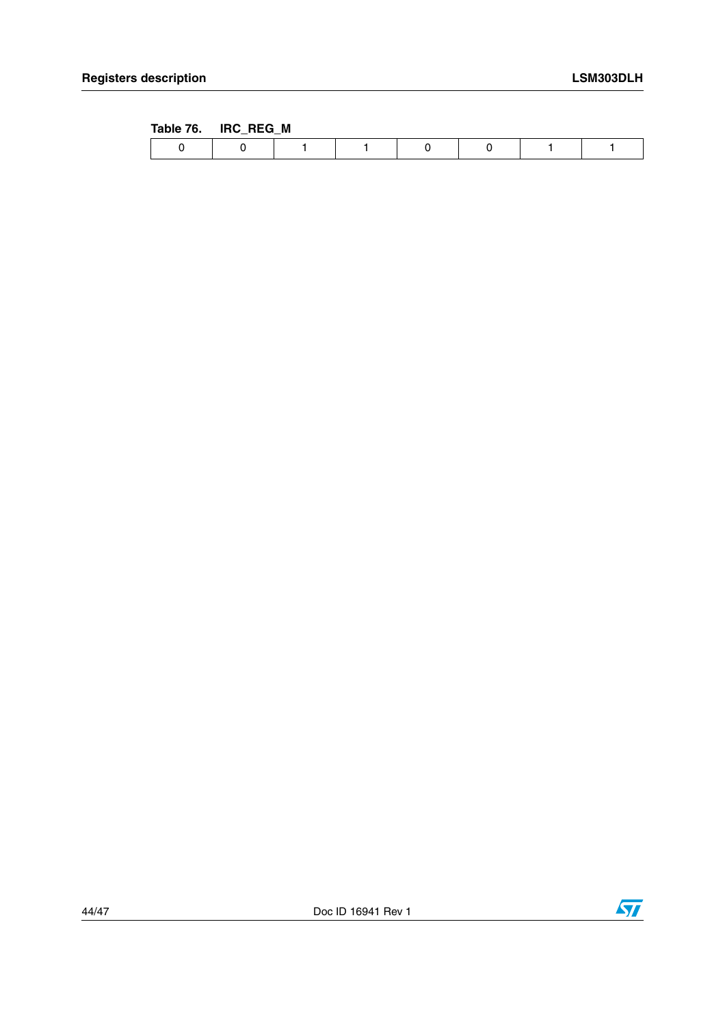<span id="page-43-0"></span>

| Table 76. | IRC_REG_M |  |  |  |
|-----------|-----------|--|--|--|
|           |           |  |  |  |

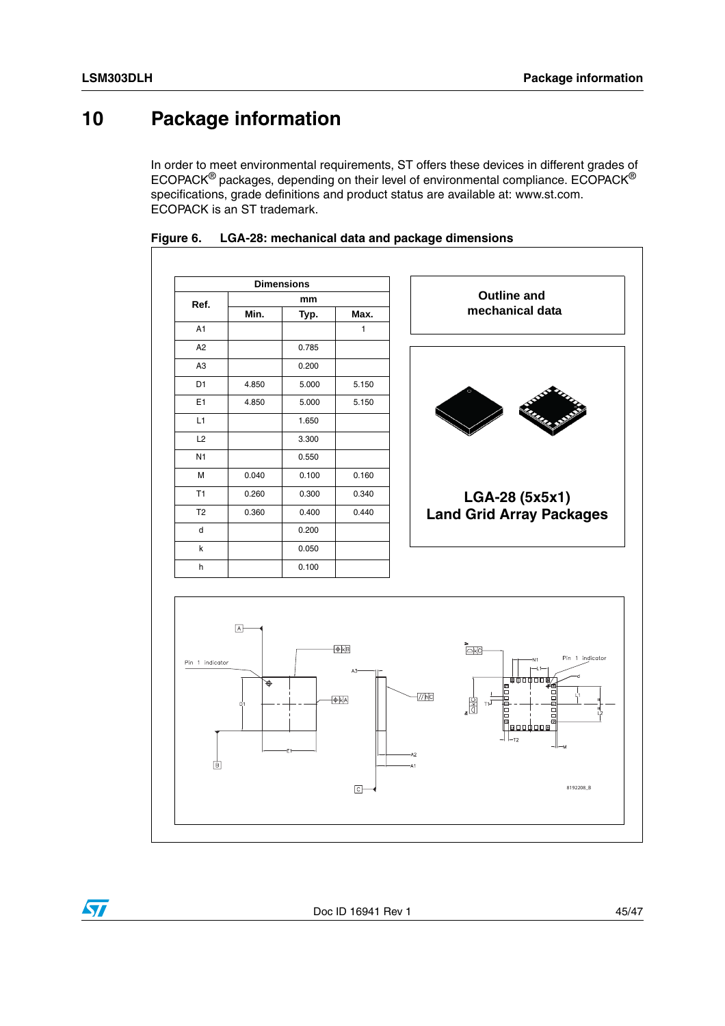$\sqrt{2}$ 

## <span id="page-44-0"></span>**10 Package information**

In order to meet environmental requirements, ST offers these devices in different grades of ECOPACK® packages, depending on their level of environmental compliance. ECOPACK® specifications, grade definitions and product status are available at: www.st.com. ECOPACK is an ST trademark.



<span id="page-44-1"></span>

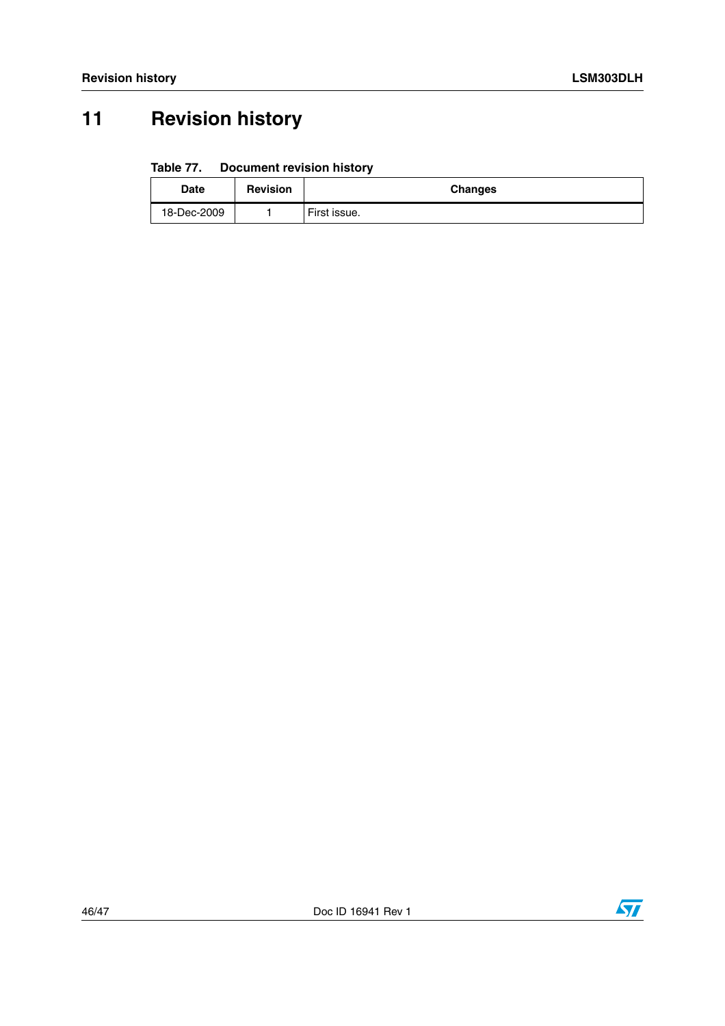# <span id="page-45-0"></span>**11 Revision history**

#### <span id="page-45-1"></span>Table 77. **Document revision history**

| <b>Date</b> | <b>Revision</b> | <b>Changes</b> |
|-------------|-----------------|----------------|
| 18-Dec-2009 |                 | First issue.   |